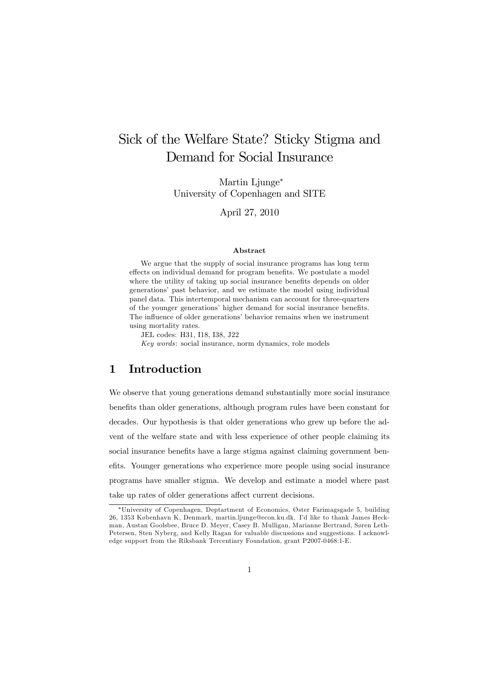# Sick of the Welfare State? Sticky Stigma and Demand for Social Insurance

Martin Ljunge<sup>∗</sup> University of Copenhagen and SITE

April 27, 2010

#### Abstract

We argue that the supply of social insurance programs has long term effects on individual demand for program benefits. We postulate a model where the utility of taking up social insurance benefits depends on older generations' past behavior, and we estimate the model using individual panel data. This intertemporal mechanism can account for three-quarters of the younger generations' higher demand for social insurance benefits. The influence of older generations' behavior remains when we instrument using mortality rates.

JEL codes: H31, I18, I38, J22

Key words: social insurance, norm dynamics, role models

# 1 Introduction

We observe that young generations demand substantially more social insurance benefits than older generations, although program rules have been constant for decades. Our hypothesis is that older generations who grew up before the advent of the welfare state and with less experience of other people claiming its social insurance benefits have a large stigma against claiming government benefits. Younger generations who experience more people using social insurance programs have smaller stigma. We develop and estimate a model where past take up rates of older generations affect current decisions.

<sup>∗</sup>University of Copenhagen, Deptartment of Economics, Øster Farimagsgade 5, building 26, 1353 København K, Denmark, martin.ljunge@econ.ku.dk. I'd like to thank James Heckman, Austan Goolsbee, Bruce D. Meyer, Casey B. Mulligan, Marianne Bertrand, Søren Leth-Petersen, Sten Nyberg, and Kelly Ragan for valuable discussions and suggestions. I acknowledge support from the Riksbank Tercentiary Foundation, grant P2007-0468:1-E.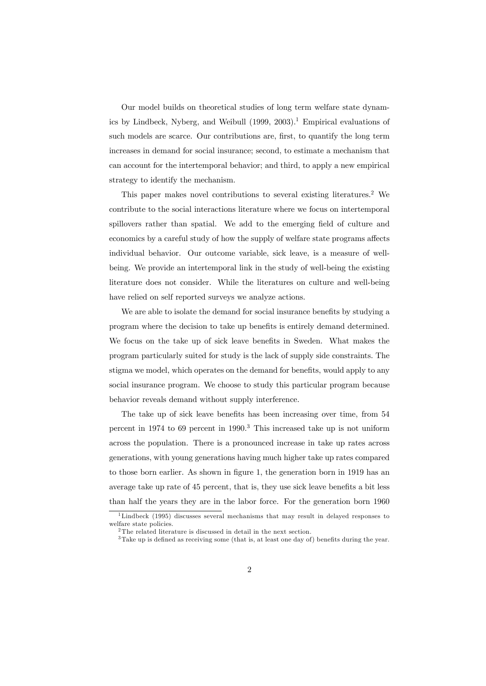Our model builds on theoretical studies of long term welfare state dynamics by Lindbeck, Nyberg, and Weibull  $(1999, 2003).$ <sup>1</sup> Empirical evaluations of such models are scarce. Our contributions are, first, to quantify the long term increases in demand for social insurance; second, to estimate a mechanism that can account for the intertemporal behavior; and third, to apply a new empirical strategy to identify the mechanism.

This paper makes novel contributions to several existing literatures.<sup>2</sup> We contribute to the social interactions literature where we focus on intertemporal spillovers rather than spatial. We add to the emerging field of culture and economics by a careful study of how the supply of welfare state programs affects individual behavior. Our outcome variable, sick leave, is a measure of wellbeing. We provide an intertemporal link in the study of well-being the existing literature does not consider. While the literatures on culture and well-being have relied on self reported surveys we analyze actions.

We are able to isolate the demand for social insurance benefits by studying a program where the decision to take up benefits is entirely demand determined. We focus on the take up of sick leave benefits in Sweden. What makes the program particularly suited for study is the lack of supply side constraints. The stigma we model, which operates on the demand for benefits, would apply to any social insurance program. We choose to study this particular program because behavior reveals demand without supply interference.

The take up of sick leave benefits has been increasing over time, from 54 percent in 1974 to 69 percent in 1990.<sup>3</sup> This increased take up is not uniform across the population. There is a pronounced increase in take up rates across generations, with young generations having much higher take up rates compared to those born earlier. As shown in figure 1, the generation born in 1919 has an average take up rate of 45 percent, that is, they use sick leave benefits a bit less than half the years they are in the labor force. For the generation born 1960

 $1$ Lindbeck (1995) discusses several mechanisms that may result in delayed responses to welfare state policies.

<sup>&</sup>lt;sup>2</sup>The related literature is discussed in detail in the next section.

<sup>3</sup>Take up is defined as receiving some (that is, at least one day of) benefits during the year.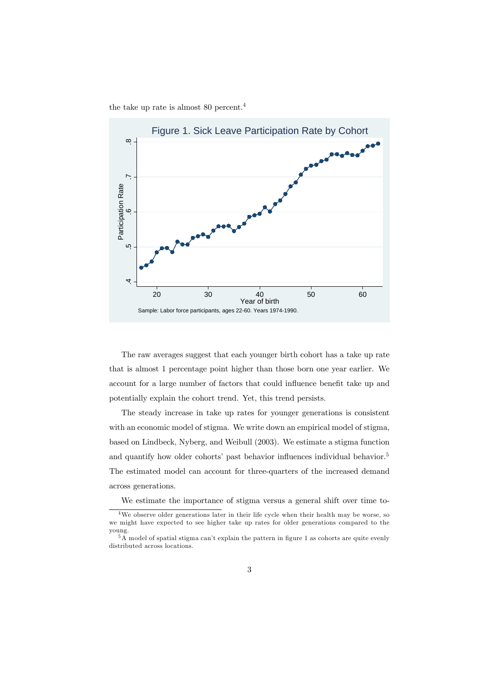the take up rate is almost 80 percent.<sup>4</sup>



The raw averages suggest that each younger birth cohort has a take up rate that is almost 1 percentage point higher than those born one year earlier. We account for a large number of factors that could influence benefit take up and potentially explain the cohort trend. Yet, this trend persists.

The steady increase in take up rates for younger generations is consistent with an economic model of stigma. We write down an empirical model of stigma, based on Lindbeck, Nyberg, and Weibull (2003). We estimate a stigma function and quantify how older cohorts' past behavior influences individual behavior.<sup>5</sup> The estimated model can account for three-quarters of the increased demand across generations.

We estimate the importance of stigma versus a general shift over time to-

<sup>4</sup>We observe older generations later in their life cycle when their health may be worse, so we might have expected to see higher take up rates for older generations compared to the young.

<sup>5</sup>A model of spatial stigma can't explain the pattern in figure 1 as cohorts are quite evenly distributed across locations.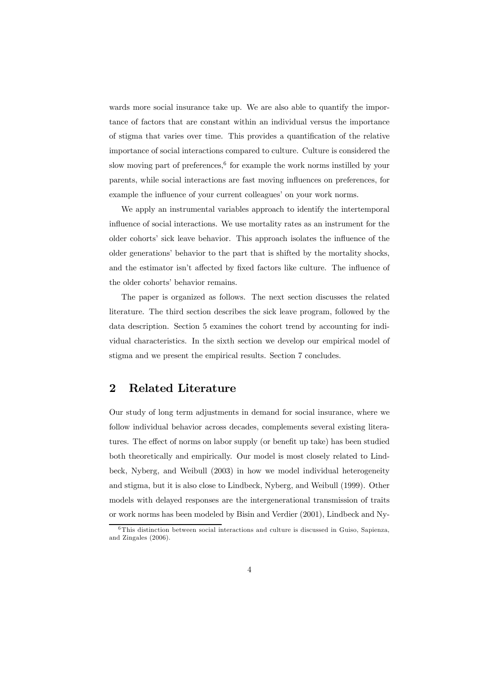wards more social insurance take up. We are also able to quantify the importance of factors that are constant within an individual versus the importance of stigma that varies over time. This provides a quantification of the relative importance of social interactions compared to culture. Culture is considered the slow moving part of preferences, $6$  for example the work norms instilled by your parents, while social interactions are fast moving influences on preferences, for example the influence of your current colleagues' on your work norms.

We apply an instrumental variables approach to identify the intertemporal influence of social interactions. We use mortality rates as an instrument for the older cohorts' sick leave behavior. This approach isolates the influence of the older generations' behavior to the part that is shifted by the mortality shocks, and the estimator isn't affected by fixed factors like culture. The influence of the older cohorts' behavior remains.

The paper is organized as follows. The next section discusses the related literature. The third section describes the sick leave program, followed by the data description. Section 5 examines the cohort trend by accounting for individual characteristics. In the sixth section we develop our empirical model of stigma and we present the empirical results. Section 7 concludes.

### 2 Related Literature

Our study of long term adjustments in demand for social insurance, where we follow individual behavior across decades, complements several existing literatures. The effect of norms on labor supply (or benefit up take) has been studied both theoretically and empirically. Our model is most closely related to Lindbeck, Nyberg, and Weibull (2003) in how we model individual heterogeneity and stigma, but it is also close to Lindbeck, Nyberg, and Weibull (1999). Other models with delayed responses are the intergenerational transmission of traits or work norms has been modeled by Bisin and Verdier (2001), Lindbeck and Ny-

<sup>6</sup>This distinction between social interactions and culture is discussed in Guiso, Sapienza, and Zingales (2006).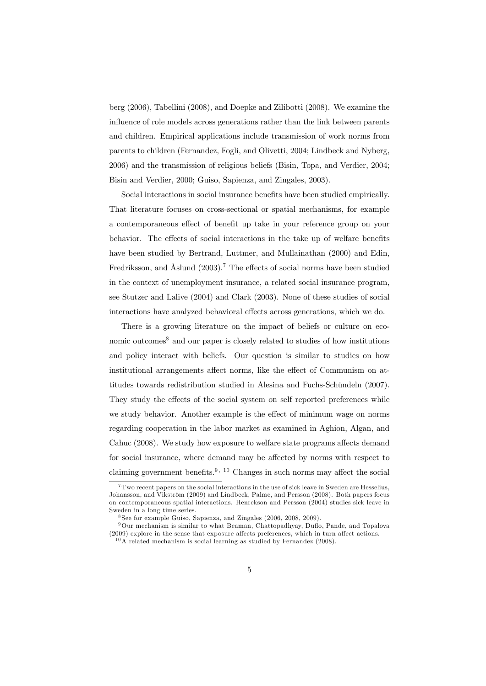berg (2006), Tabellini (2008), and Doepke and Zilibotti (2008). We examine the influence of role models across generations rather than the link between parents and children. Empirical applications include transmission of work norms from parents to children (Fernandez, Fogli, and Olivetti, 2004; Lindbeck and Nyberg, 2006) and the transmission of religious beliefs (Bisin, Topa, and Verdier, 2004; Bisin and Verdier, 2000; Guiso, Sapienza, and Zingales, 2003).

Social interactions in social insurance benefits have been studied empirically. That literature focuses on cross-sectional or spatial mechanisms, for example a contemporaneous effect of benefit up take in your reference group on your behavior. The effects of social interactions in the take up of welfare benefits have been studied by Bertrand, Luttmer, and Mullainathan (2000) and Edin, Fredriksson, and Åslund  $(2003)$ .<sup>7</sup> The effects of social norms have been studied in the context of unemployment insurance, a related social insurance program, see Stutzer and Lalive (2004) and Clark (2003). None of these studies of social interactions have analyzed behavioral effects across generations, which we do.

There is a growing literature on the impact of beliefs or culture on economic outcomes<sup>8</sup> and our paper is closely related to studies of how institutions and policy interact with beliefs. Our question is similar to studies on how institutional arrangements affect norms, like the effect of Communism on attitudes towards redistribution studied in Alesina and Fuchs-Schündeln (2007). They study the effects of the social system on self reported preferences while we study behavior. Another example is the effect of minimum wage on norms regarding cooperation in the labor market as examined in Aghion, Algan, and Cahuc (2008). We study how exposure to welfare state programs affects demand for social insurance, where demand may be affected by norms with respect to claiming government benefits.<sup>9, 10</sup> Changes in such norms may affect the social

<sup>7</sup>Two recent papers on the social interactions in the use of sick leave in Sweden are Hesselius, Johansson, and Vikström (2009) and Lindbeck, Palme, and Persson (2008). Both papers focus on contemporaneous spatial interactions. Henrekson and Persson (2004) studies sick leave in Sweden in a long time series.

<sup>8</sup> See for example Guiso, Sapienza, and Zingales (2006, 2008, 2009).

<sup>9</sup>Our mechanism is similar to what Beaman, Chattopadhyay, Duflo, Pande, and Topalova (2009) explore in the sense that exposure affects preferences, which in turn affect actions.

 $10$ A related mechanism is social learning as studied by Fernandez (2008).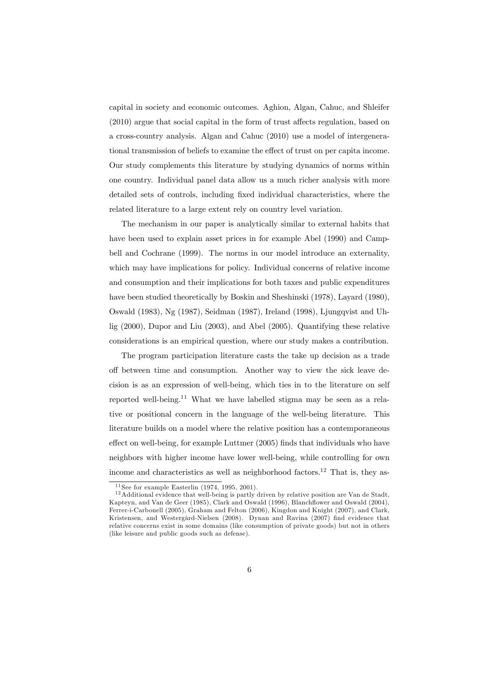capital in society and economic outcomes. Aghion, Algan, Cahuc, and Shleifer (2010) argue that social capital in the form of trust affects regulation, based on a cross-country analysis. Algan and Cahuc (2010) use a model of intergenerational transmission of beliefs to examine the effect of trust on per capita income. Our study complements this literature by studying dynamics of norms within one country. Individual panel data allow us a much richer analysis with more detailed sets of controls, including fixed individual characteristics, where the related literature to a large extent rely on country level variation.

The mechanism in our paper is analytically similar to external habits that have been used to explain asset prices in for example Abel (1990) and Campbell and Cochrane (1999). The norms in our model introduce an externality, which may have implications for policy. Individual concerns of relative income and consumption and their implications for both taxes and public expenditures have been studied theoretically by Boskin and Sheshinski (1978), Layard (1980), Oswald (1983), Ng (1987), Seidman (1987), Ireland (1998), Ljungqvist and Uhlig (2000), Dupor and Liu (2003), and Abel (2005). Quantifying these relative considerations is an empirical question, where our study makes a contribution.

The program participation literature casts the take up decision as a trade off between time and consumption. Another way to view the sick leave decision is as an expression of well-being, which ties in to the literature on self reported well-being.<sup>11</sup> What we have labelled stigma may be seen as a relative or positional concern in the language of the well-being literature. This literature builds on a model where the relative position has a contemporaneous effect on well-being, for example Luttmer (2005) finds that individuals who have neighbors with higher income have lower well-being, while controlling for own income and characteristics as well as neighborhood factors.12 That is, they as-

 $11$  See for example Easterlin (1974, 1995, 2001).

 $12$ Additional evidence that well-being is partly driven by relative position are Van de Stadt, Kapteyn, and Van de Geer (1985), Clark and Oswald (1996), Blanchflower and Oswald (2004), Ferrer-i-Carbonell (2005), Graham and Felton (2006), Kingdon and Knight (2007), and Clark, Kristensen, and Westergård-Nielsen (2008). Dynan and Ravina (2007) find evidence that relative concerns exist in some domains (like consumption of private goods) but not in others (like leisure and public goods such as defense).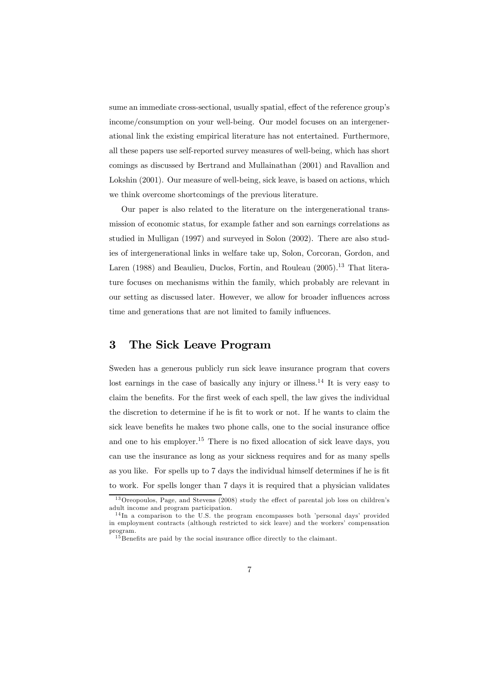sume an immediate cross-sectional, usually spatial, effect of the reference group's income/consumption on your well-being. Our model focuses on an intergenerational link the existing empirical literature has not entertained. Furthermore, all these papers use self-reported survey measures of well-being, which has short comings as discussed by Bertrand and Mullainathan (2001) and Ravallion and Lokshin (2001). Our measure of well-being, sick leave, is based on actions, which we think overcome shortcomings of the previous literature.

Our paper is also related to the literature on the intergenerational transmission of economic status, for example father and son earnings correlations as studied in Mulligan (1997) and surveyed in Solon (2002). There are also studies of intergenerational links in welfare take up, Solon, Corcoran, Gordon, and Laren (1988) and Beaulieu, Duclos, Fortin, and Rouleau  $(2005)^{13}$  That literature focuses on mechanisms within the family, which probably are relevant in our setting as discussed later. However, we allow for broader influences across time and generations that are not limited to family influences.

# 3 The Sick Leave Program

Sweden has a generous publicly run sick leave insurance program that covers lost earnings in the case of basically any injury or illness.<sup>14</sup> It is very easy to claim the benefits. For the first week of each spell, the law gives the individual the discretion to determine if he is fit to work or not. If he wants to claim the sick leave benefits he makes two phone calls, one to the social insurance office and one to his employer.<sup>15</sup> There is no fixed allocation of sick leave days, you can use the insurance as long as your sickness requires and for as many spells as you like. For spells up to 7 days the individual himself determines if he is fit to work. For spells longer than 7 days it is required that a physician validates

<sup>&</sup>lt;sup>13</sup> Oreopoulos, Page, and Stevens (2008) study the effect of parental job loss on children's adult income and program participation.

<sup>&</sup>lt;sup>14</sup>In a comparison to the U.S. the program encompasses both 'personal days' provided in employment contracts (although restricted to sick leave) and the workers' compensation program.

 $15$  Benefits are paid by the social insurance office directly to the claimant.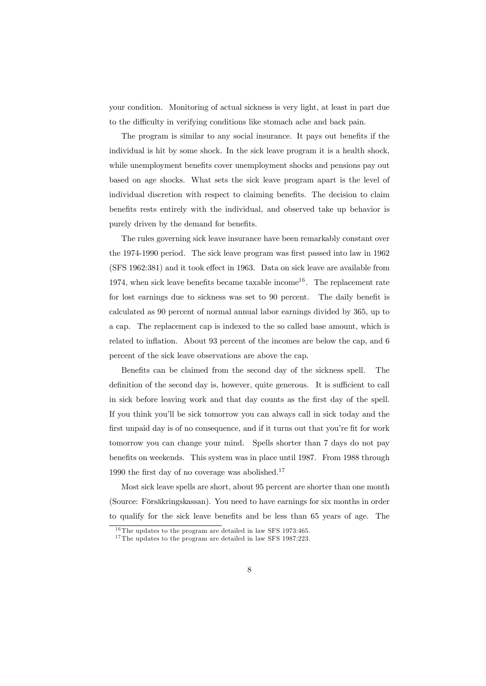your condition. Monitoring of actual sickness is very light, at least in part due to the difficulty in verifying conditions like stomach ache and back pain.

The program is similar to any social insurance. It pays out benefits if the individual is hit by some shock. In the sick leave program it is a health shock, while unemployment benefits cover unemployment shocks and pensions pay out based on age shocks. What sets the sick leave program apart is the level of individual discretion with respect to claiming benefits. The decision to claim benefits rests entirely with the individual, and observed take up behavior is purely driven by the demand for benefits.

The rules governing sick leave insurance have been remarkably constant over the 1974-1990 period. The sick leave program was first passed into law in 1962 (SFS 1962:381) and it took effect in 1963. Data on sick leave are available from 1974, when sick leave benefits became taxable income<sup>16</sup>. The replacement rate for lost earnings due to sickness was set to 90 percent. The daily benefit is calculated as 90 percent of normal annual labor earnings divided by 365, up to a cap. The replacement cap is indexed to the so called base amount, which is related to inflation. About 93 percent of the incomes are below the cap, and 6 percent of the sick leave observations are above the cap.

Benefits can be claimed from the second day of the sickness spell. The definition of the second day is, however, quite generous. It is sufficient to call in sick before leaving work and that day counts as the first day of the spell. If you think you'll be sick tomorrow you can always call in sick today and the first unpaid day is of no consequence, and if it turns out that you're fit for work tomorrow you can change your mind. Spells shorter than 7 days do not pay benefits on weekends. This system was in place until 1987. From 1988 through 1990 the first day of no coverage was abolished.<sup>17</sup>

Most sick leave spells are short, about 95 percent are shorter than one month (Source: Försäkringskassan). You need to have earnings for six months in order to qualify for the sick leave benefits and be less than 65 years of age. The

 $16$ The updates to the program are detailed in law SFS 1973:465.

 $17$ The updates to the program are detailed in law SFS 1987:223.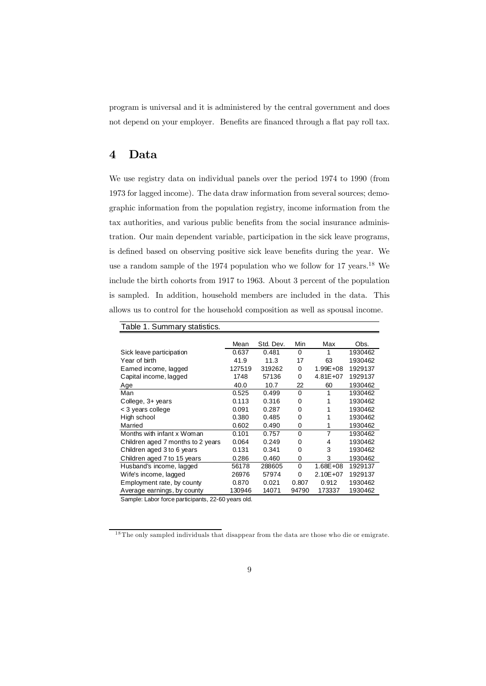program is universal and it is administered by the central government and does not depend on your employer. Benefits are financed through a flat pay roll tax.

### 4 Data

We use registry data on individual panels over the period 1974 to 1990 (from 1973 for lagged income). The data draw information from several sources; demographic information from the population registry, income information from the tax authorities, and various public benefits from the social insurance administration. Our main dependent variable, participation in the sick leave programs, is defined based on observing positive sick leave benefits during the year. We use a random sample of the 1974 population who we follow for 17 years.<sup>18</sup> We include the birth cohorts from 1917 to 1963. About 3 percent of the population is sampled. In addition, household members are included in the data. This allows us to control for the household composition as well as spousal income.

| Table 1. Summary statistics.                      |        |           |          |              |         |  |
|---------------------------------------------------|--------|-----------|----------|--------------|---------|--|
|                                                   | Mean   | Std. Dev. | Min      | Max          | Obs.    |  |
| Sick leave participation                          | 0.637  | 0.481     | $\Omega$ | 1            | 1930462 |  |
| Year of birth                                     | 41.9   | 11.3      | 17       | 63           | 1930462 |  |
| Earned income, lagged                             | 127519 | 319262    | 0        | $1.99E + 08$ | 1929137 |  |
| Capital income, lagged                            | 1748   | 57136     | 0        | $4.81E + 07$ | 1929137 |  |
| Age                                               | 40.0   | 10.7      | 22       | 60           | 1930462 |  |
| Man                                               | 0.525  | 0.499     | $\Omega$ |              | 1930462 |  |
| College, 3+ years                                 | 0.113  | 0.316     | 0        |              | 1930462 |  |
| < 3 years college                                 | 0.091  | 0.287     | O        |              | 1930462 |  |
| High school                                       | 0.380  | 0.485     | 0        | 1            | 1930462 |  |
| Married                                           | 0.602  | 0.490     |          |              | 1930462 |  |
| Months with infant x Woman                        | 0.101  | 0.757     | 0        |              | 1930462 |  |
| Children aged 7 months to 2 years                 | 0.064  | 0.249     | ŋ        | 4            | 1930462 |  |
| Children aged 3 to 6 years                        | 0.131  | 0.341     | 0        | 3            | 1930462 |  |
| Children aged 7 to 15 years                       | 0.286  | 0.460     |          | 3            | 1930462 |  |
| Husband's income, lagged                          | 56178  | 288605    | 0        | $1.68E + 08$ | 1929137 |  |
| Wife's income, lagged                             | 26976  | 57974     | 0        | $2.10E + 07$ | 1929137 |  |
| Employment rate, by county                        | 0.870  | 0.021     | 0.807    | 0.912        | 1930462 |  |
| Average earnings, by county                       | 130946 | 14071     | 94790    | 173337       | 1930462 |  |
| Complete phore force portioinante 22.60 vegro ald |        |           |          |              |         |  |

Sample: Labor force participants, 22-60 years old.

<sup>&</sup>lt;sup>18</sup>The only sampled individuals that disappear from the data are those who die or emigrate.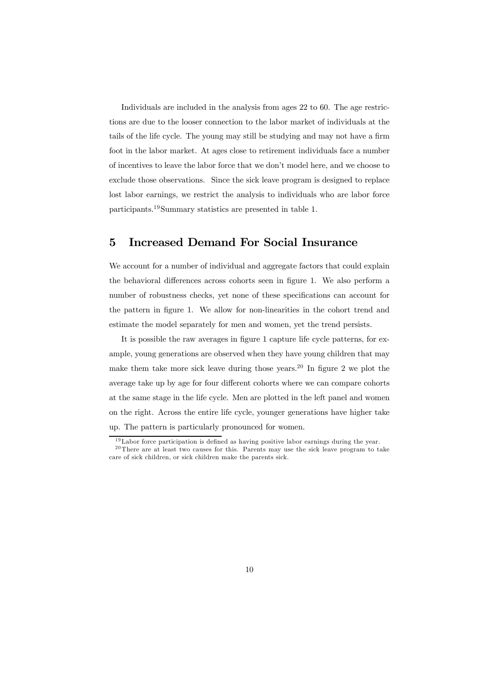Individuals are included in the analysis from ages 22 to 60. The age restrictions are due to the looser connection to the labor market of individuals at the tails of the life cycle. The young may still be studying and may not have a firm foot in the labor market. At ages close to retirement individuals face a number of incentives to leave the labor force that we don't model here, and we choose to exclude those observations. Since the sick leave program is designed to replace lost labor earnings, we restrict the analysis to individuals who are labor force participants.19Summary statistics are presented in table 1.

### 5 Increased Demand For Social Insurance

We account for a number of individual and aggregate factors that could explain the behavioral differences across cohorts seen in figure 1. We also perform a number of robustness checks, yet none of these specifications can account for the pattern in figure 1. We allow for non-linearities in the cohort trend and estimate the model separately for men and women, yet the trend persists.

It is possible the raw averages in figure 1 capture life cycle patterns, for example, young generations are observed when they have young children that may make them take more sick leave during those years.20 In figure 2 we plot the average take up by age for four different cohorts where we can compare cohorts at the same stage in the life cycle. Men are plotted in the left panel and women on the right. Across the entire life cycle, younger generations have higher take up. The pattern is particularly pronounced for women.

 $19$ Labor force participation is defined as having positive labor earnings during the year.  $20$ There are at least two causes for this. Parents may use the sick leave program to take

care of sick children, or sick children make the parents sick.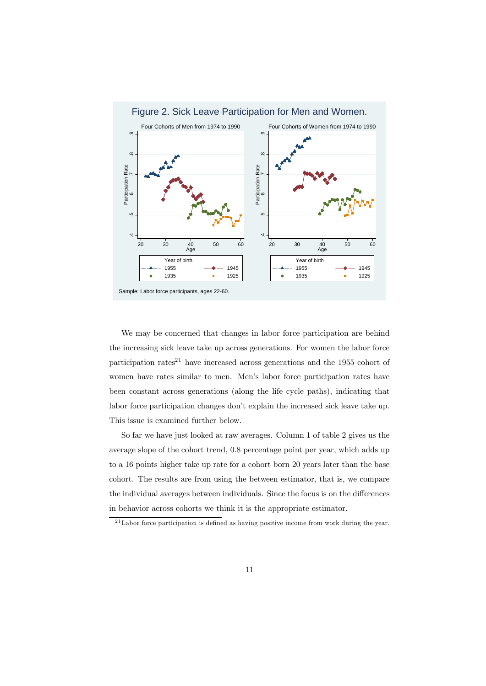

We may be concerned that changes in labor force participation are behind the increasing sick leave take up across generations. For women the labor force participation rates<sup>21</sup> have increased across generations and the 1955 cohort of women have rates similar to men. Men's labor force participation rates have been constant across generations (along the life cycle paths), indicating that labor force participation changes don't explain the increased sick leave take up. This issue is examined further below.

So far we have just looked at raw averages. Column 1 of table 2 gives us the average slope of the cohort trend, 0.8 percentage point per year, which adds up to a 16 points higher take up rate for a cohort born 20 years later than the base cohort. The results are from using the between estimator, that is, we compare the individual averages between individuals. Since the focus is on the differences in behavior across cohorts we think it is the appropriate estimator.

 $21$ Labor force participation is defined as having positive income from work during the year.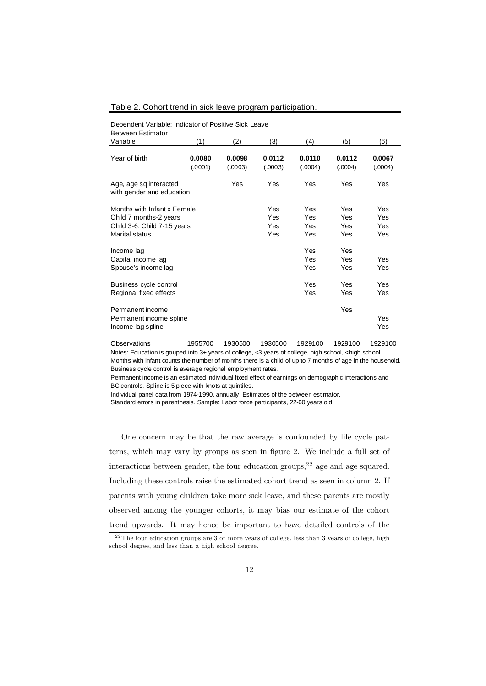#### Table 2. Cohort trend in sick leave program participation.

Dependent Variable: Indicator of Positive Sick Leave Between Estimator

| וטואווונטש ווטטאש<br>Variable                                                                                 | (1)               | (2)               | (3)                      | (4)                      | (5)                      | (6)                      |
|---------------------------------------------------------------------------------------------------------------|-------------------|-------------------|--------------------------|--------------------------|--------------------------|--------------------------|
| Year of birth                                                                                                 | 0.0080<br>(.0001) | 0.0098<br>(.0003) | 0.0112<br>(.0003)        | 0.0110<br>(.0004)        | 0.0112<br>(.0004)        | 0.0067<br>(.0004)        |
| Age, age sq interacted<br>with gender and education                                                           |                   | Yes               | Yes                      | Yes                      | Yes                      | Yes                      |
| Months with Infant x Female<br>Child 7 months-2 years<br>Child 3-6, Child 7-15 years<br><b>Marital status</b> |                   |                   | Yes<br>Yes<br>Yes<br>Yes | Yes<br>Yes<br>Yes<br>Yes | Yes<br>Yes<br>Yes<br>Yes | Yes<br>Yes<br>Yes<br>Yes |
| Income lag<br>Capital income lag<br>Spouse's income lag                                                       |                   |                   |                          | Yes<br>Yes<br>Yes        | Yes<br>Yes<br>Yes        | Yes<br>Yes               |
| Business cycle control<br>Regional fixed effects                                                              |                   |                   |                          | Yes<br>Yes               | Yes<br>Yes               | Yes<br>Yes               |
| Permanent income<br>Permanent income spline<br>Income lag spline                                              |                   |                   |                          |                          | Yes                      | Yes<br>Yes               |
| Ohoon intiano                                                                                                 | 1055700           | 1020500           | 1020500                  | 1020100                  | 1020100                  | 1020100                  |

Observations 1955700 1930500 1930500 1929100 1929100 1929100 Notes: Education is gouped into 3+ years of college, <3 years of college, high school, <high school.

Months with infant counts the number of months there is a child of up to 7 months of age in the household. Business cycle control is average regional employment rates.

Permanent income is an estimated individual fixed effect of earnings on demographic interactions and BC controls. Spline is 5 piece with knots at quintiles.

Individual panel data from 1974-1990, annually. Estimates of the between estimator.

Standard errors in parenthesis. Sample: Labor force participants, 22-60 years old.

One concern may be that the raw average is confounded by life cycle patterns, which may vary by groups as seen in figure 2. We include a full set of interactions between gender, the four education groups, $2<sup>2</sup>$  age and age squared. Including these controls raise the estimated cohort trend as seen in column 2. If parents with young children take more sick leave, and these parents are mostly observed among the younger cohorts, it may bias our estimate of the cohort trend upwards. It may hence be important to have detailed controls of the

<sup>&</sup>lt;sup>22</sup>The four education groups are 3 or more years of college, less than 3 years of college, high school degree, and less than a high school degree.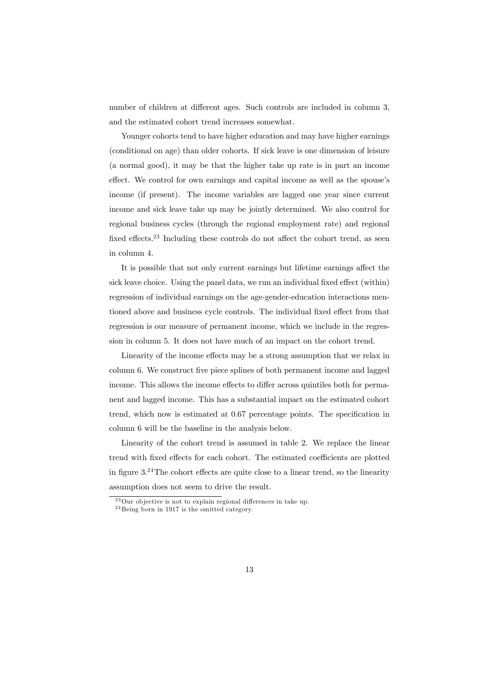number of children at different ages. Such controls are included in column 3, and the estimated cohort trend increases somewhat.

Younger cohorts tend to have higher education and may have higher earnings (conditional on age) than older cohorts. If sick leave is one dimension of leisure (a normal good), it may be that the higher take up rate is in part an income effect. We control for own earnings and capital income as well as the spouse's income (if present). The income variables are lagged one year since current income and sick leave take up may be jointly determined. We also control for regional business cycles (through the regional employment rate) and regional fixed effects.<sup>23</sup> Including these controls do not affect the cohort trend, as seen in column 4.

It is possible that not only current earnings but lifetime earnings affect the sick leave choice. Using the panel data, we run an individual fixed effect (within) regression of individual earnings on the age-gender-education interactions mentioned above and business cycle controls. The individual fixed effect from that regression is our measure of permanent income, which we include in the regression in column 5. It does not have much of an impact on the cohort trend.

Linearity of the income effects may be a strong assumption that we relax in column 6. We construct five piece splines of both permanent income and lagged income. This allows the income effects to differ across quintiles both for permanent and lagged income. This has a substantial impact on the estimated cohort trend, which now is estimated at 0.67 percentage points. The specification in column 6 will be the baseline in the analysis below.

Linearity of the cohort trend is assumed in table 2. We replace the linear trend with fixed effects for each cohort. The estimated coefficients are plotted in figure 3.24The cohort effects are quite close to a linear trend, so the linearity assumption does not seem to drive the result.

 $^{23}$ Our objective is not to explain regional differences in take up.

<sup>2 4</sup> Being born in 1917 is the omitted category.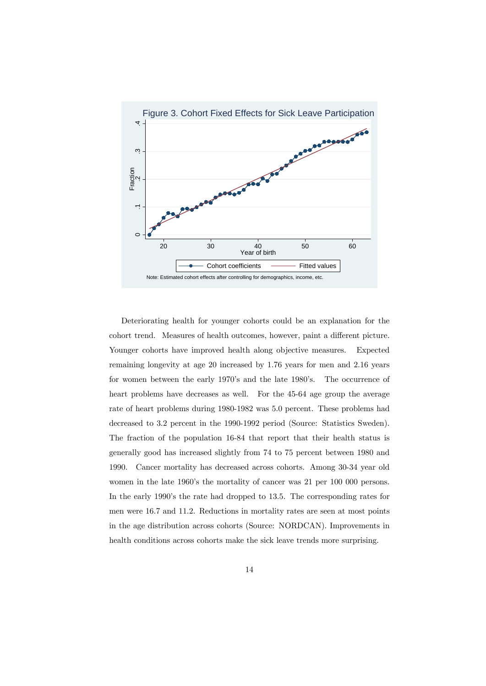

Deteriorating health for younger cohorts could be an explanation for the cohort trend. Measures of health outcomes, however, paint a different picture. Younger cohorts have improved health along objective measures. Expected remaining longevity at age 20 increased by 1.76 years for men and 2.16 years for women between the early 1970's and the late 1980's. The occurrence of heart problems have decreases as well. For the 45-64 age group the average rate of heart problems during 1980-1982 was 5.0 percent. These problems had decreased to 3.2 percent in the 1990-1992 period (Source: Statistics Sweden). The fraction of the population 16-84 that report that their health status is generally good has increased slightly from 74 to 75 percent between 1980 and 1990. Cancer mortality has decreased across cohorts. Among 30-34 year old women in the late 1960's the mortality of cancer was 21 per 100 000 persons. In the early 1990's the rate had dropped to 13.5. The corresponding rates for men were 16.7 and 11.2. Reductions in mortality rates are seen at most points in the age distribution across cohorts (Source: NORDCAN). Improvements in health conditions across cohorts make the sick leave trends more surprising.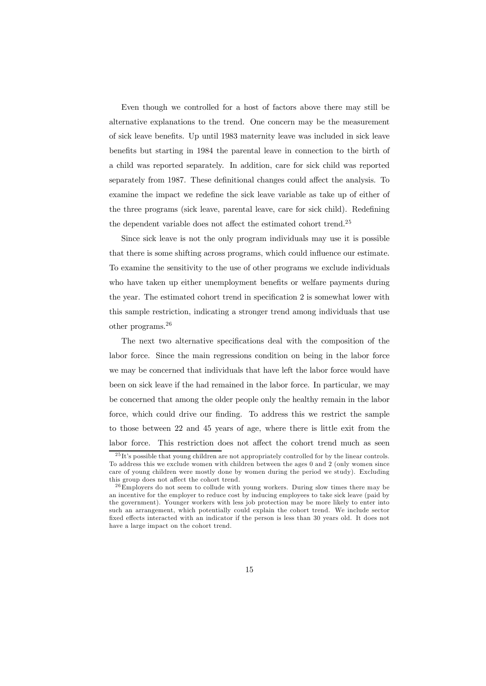Even though we controlled for a host of factors above there may still be alternative explanations to the trend. One concern may be the measurement of sick leave benefits. Up until 1983 maternity leave was included in sick leave benefits but starting in 1984 the parental leave in connection to the birth of a child was reported separately. In addition, care for sick child was reported separately from 1987. These definitional changes could affect the analysis. To examine the impact we redefine the sick leave variable as take up of either of the three programs (sick leave, parental leave, care for sick child). Redefining the dependent variable does not affect the estimated cohort trend.25

Since sick leave is not the only program individuals may use it is possible that there is some shifting across programs, which could influence our estimate. To examine the sensitivity to the use of other programs we exclude individuals who have taken up either unemployment benefits or welfare payments during the year. The estimated cohort trend in specification 2 is somewhat lower with this sample restriction, indicating a stronger trend among individuals that use other programs.<sup>26</sup>

The next two alternative specifications deal with the composition of the labor force. Since the main regressions condition on being in the labor force we may be concerned that individuals that have left the labor force would have been on sick leave if the had remained in the labor force. In particular, we may be concerned that among the older people only the healthy remain in the labor force, which could drive our finding. To address this we restrict the sample to those between 22 and 45 years of age, where there is little exit from the labor force. This restriction does not affect the cohort trend much as seen

 $^{25}\mathrm{It}$  s possible that young children are not appropriately controlled for by the linear controls. To address this we exclude women with children between the ages 0 and 2 (only women since care of young children were mostly done by women during the period we study). Excluding this group does not affect the cohort trend.

 $^{26}$ Employers do not seem to collude with young workers. During slow times there may be an incentive for the employer to reduce cost by inducing employees to take sick leave (paid by the government). Younger workers with less job protection may be more likely to enter into such an arrangement, which potentially could explain the cohort trend. We include sector fixed effects interacted with an indicator if the person is less than 30 years old. It does not have a large impact on the cohort trend.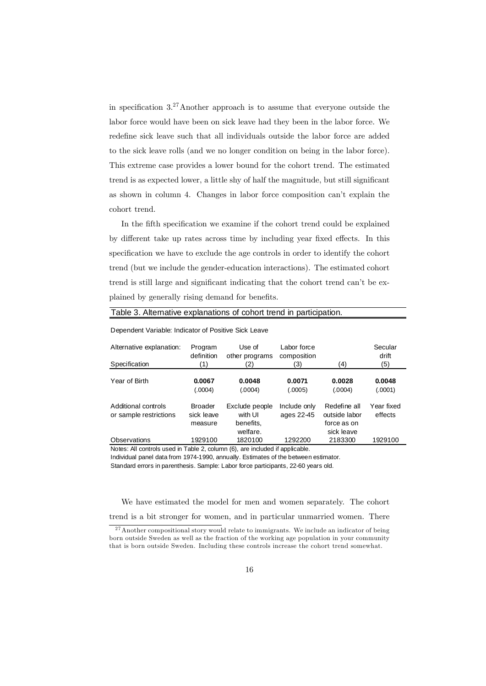in specification 3.27Another approach is to assume that everyone outside the labor force would have been on sick leave had they been in the labor force. We redefine sick leave such that all individuals outside the labor force are added to the sick leave rolls (and we no longer condition on being in the labor force). This extreme case provides a lower bound for the cohort trend. The estimated trend is as expected lower, a little shy of half the magnitude, but still significant as shown in column 4. Changes in labor force composition can't explain the cohort trend.

In the fifth specification we examine if the cohort trend could be explained by different take up rates across time by including year fixed effects. In this specification we have to exclude the age controls in order to identify the cohort trend (but we include the gender-education interactions). The estimated cohort trend is still large and significant indicating that the cohort trend can't be explained by generally rising demand for benefits.

| Dependent Variable: Indicator of Positive Sick Leave |                                         |                                        |                            |                                              |                       |  |  |
|------------------------------------------------------|-----------------------------------------|----------------------------------------|----------------------------|----------------------------------------------|-----------------------|--|--|
| Alternative explanation:                             | Program<br>definition                   | Use of<br>other programs               | Labor force<br>composition |                                              | Secular<br>drift      |  |  |
| Specification                                        | (1)                                     | (2)                                    | (3)                        | (4)                                          | (5)                   |  |  |
| Year of Birth                                        | 0.0067<br>(.0004)                       | 0.0048<br>(.0004)                      | 0.0071<br>(.0005)          | 0.0028<br>(.0004)                            | 0.0048<br>(.0001)     |  |  |
| Additional controls<br>or sample restrictions        | <b>Broader</b><br>sick leave<br>measure | Exclude people<br>with UI<br>benefits. | Include only<br>ages 22-45 | Redefine all<br>outside labor<br>force as on | Year fixed<br>effects |  |  |
| Observations                                         | 1929100                                 | welfare.<br>1820100                    | 1292200                    | sick leave<br>2183300                        | 1929100               |  |  |

Notes: All controls used in Table 2, column (6), are included if applicable.

Individual panel data from 1974-1990, annually. Estimates of the between estimator. Standard errors in parenthesis. Sample: Labor force participants, 22-60 years old.

Table 3. Alternative explanations of cohort trend in participation.

We have estimated the model for men and women separately. The cohort trend is a bit stronger for women, and in particular unmarried women. There

<sup>&</sup>lt;sup>27</sup> Another compositional story would relate to immigrants. We include an indicator of being born outside Sweden as well as the fraction of the working age population in your community that is born outside Sweden. Including these controls increase the cohort trend somewhat.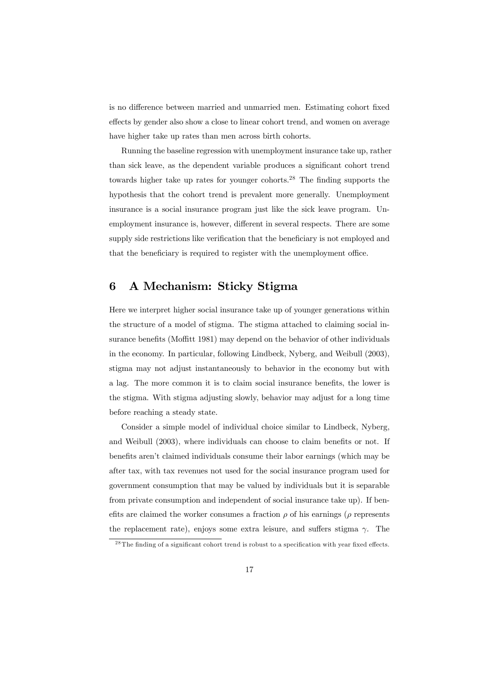is no difference between married and unmarried men. Estimating cohort fixed effects by gender also show a close to linear cohort trend, and women on average have higher take up rates than men across birth cohorts.

Running the baseline regression with unemployment insurance take up, rather than sick leave, as the dependent variable produces a significant cohort trend towards higher take up rates for younger cohorts.28 The finding supports the hypothesis that the cohort trend is prevalent more generally. Unemployment insurance is a social insurance program just like the sick leave program. Unemployment insurance is, however, different in several respects. There are some supply side restrictions like verification that the beneficiary is not employed and that the beneficiary is required to register with the unemployment office.

# 6 A Mechanism: Sticky Stigma

Here we interpret higher social insurance take up of younger generations within the structure of a model of stigma. The stigma attached to claiming social insurance benefits (Moffitt 1981) may depend on the behavior of other individuals in the economy. In particular, following Lindbeck, Nyberg, and Weibull (2003), stigma may not adjust instantaneously to behavior in the economy but with a lag. The more common it is to claim social insurance benefits, the lower is the stigma. With stigma adjusting slowly, behavior may adjust for a long time before reaching a steady state.

Consider a simple model of individual choice similar to Lindbeck, Nyberg, and Weibull (2003), where individuals can choose to claim benefits or not. If benefits aren't claimed individuals consume their labor earnings (which may be after tax, with tax revenues not used for the social insurance program used for government consumption that may be valued by individuals but it is separable from private consumption and independent of social insurance take up). If benefits are claimed the worker consumes a fraction  $\rho$  of his earnings ( $\rho$  represents the replacement rate), enjoys some extra leisure, and suffers stigma  $\gamma$ . The

<sup>&</sup>lt;sup>28</sup>The finding of a significant cohort trend is robust to a specification with year fixed effects.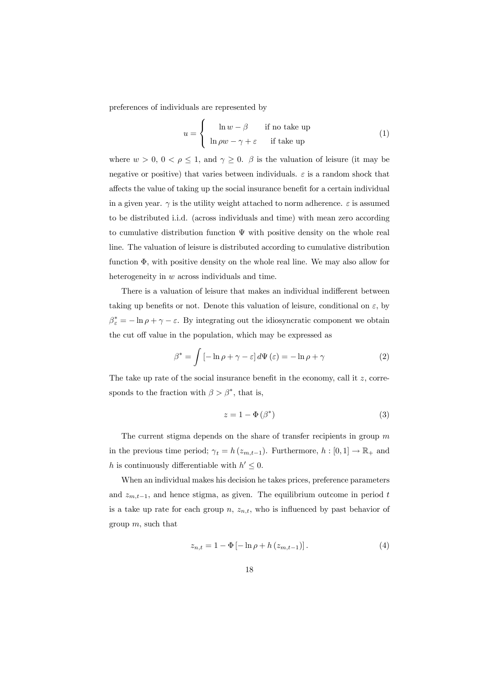preferences of individuals are represented by

$$
u = \begin{cases} \ln w - \beta & \text{if no take up} \\ \ln \rho w - \gamma + \varepsilon & \text{if take up} \end{cases}
$$
 (1)

where  $w > 0$ ,  $0 < \rho \le 1$ , and  $\gamma \ge 0$ .  $\beta$  is the valuation of leisure (it may be negative or positive) that varies between individuals.  $\varepsilon$  is a random shock that affects the value of taking up the social insurance benefit for a certain individual in a given year.  $\gamma$  is the utility weight attached to norm adherence.  $\varepsilon$  is assumed to be distributed i.i.d. (across individuals and time) with mean zero according to cumulative distribution function  $\Psi$  with positive density on the whole real line. The valuation of leisure is distributed according to cumulative distribution function Φ, with positive density on the whole real line. We may also allow for heterogeneity in w across individuals and time.

There is a valuation of leisure that makes an individual indifferent between taking up benefits or not. Denote this valuation of leisure, conditional on  $\varepsilon$ , by  $\beta_{\varepsilon}^* = -\ln \rho + \gamma - \varepsilon$ . By integrating out the idiosyncratic component we obtain the cut off value in the population, which may be expressed as

$$
\beta^* = \int \left[ -\ln \rho + \gamma - \varepsilon \right] d\Psi \left( \varepsilon \right) = -\ln \rho + \gamma \tag{2}
$$

The take up rate of the social insurance benefit in the economy, call it z, corresponds to the fraction with  $\beta > \beta^*$ , that is,

$$
z = 1 - \Phi(\beta^*)
$$
 (3)

The current stigma depends on the share of transfer recipients in group  $m$ in the previous time period;  $\gamma_t = h(z_{m,t-1})$ . Furthermore,  $h : [0,1] \to \mathbb{R}_+$  and h is continuously differentiable with  $h' \leq 0$ .

When an individual makes his decision he takes prices, preference parameters and  $z_{m,t-1}$ , and hence stigma, as given. The equilibrium outcome in period t is a take up rate for each group  $n, z_{n,t}$ , who is influenced by past behavior of group  $m$ , such that

$$
z_{n,t} = 1 - \Phi \left[ -\ln \rho + h \left( z_{m,t-1} \right) \right]. \tag{4}
$$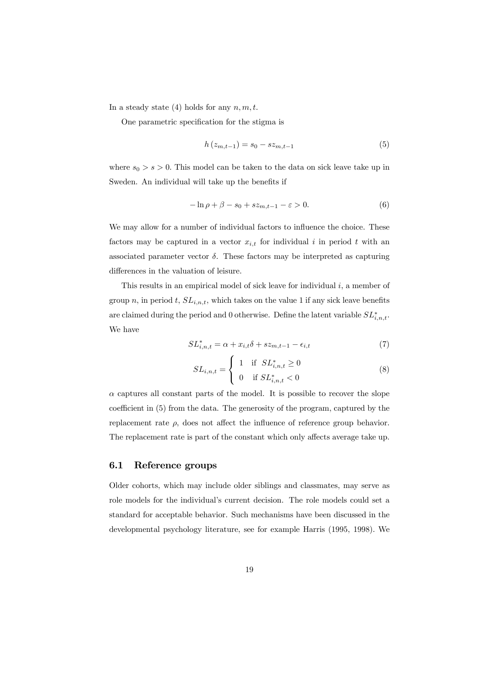In a steady state (4) holds for any  $n, m, t$ .

One parametric specification for the stigma is

$$
h(z_{m,t-1}) = s_0 - sz_{m,t-1}
$$
\n(5)

where  $s_0 > s > 0$ . This model can be taken to the data on sick leave take up in Sweden. An individual will take up the benefits if

$$
-\ln \rho + \beta - s_0 + sz_{m,t-1} - \varepsilon > 0. \tag{6}
$$

We may allow for a number of individual factors to influence the choice. These factors may be captured in a vector  $x_{i,t}$  for individual i in period t with an associated parameter vector  $\delta$ . These factors may be interpreted as capturing differences in the valuation of leisure.

This results in an empirical model of sick leave for individual  $i$ , a member of group n, in period t,  $SL_{i,n,t}$ , which takes on the value 1 if any sick leave benefits are claimed during the period and 0 otherwise. Define the latent variable  $SL^*_{i,n,t}$ . We have

$$
SL_{i,n,t}^* = \alpha + x_{i,t}\delta + sz_{m,t-1} - \epsilon_{i,t}
$$
\n<sup>(7)</sup>

$$
SL_{i,n,t} = \begin{cases} 1 & \text{if } SL_{i,n,t}^* \ge 0 \\ 0 & \text{if } SL_{i,n,t}^* < 0 \end{cases}
$$
 (8)

 $\alpha$  captures all constant parts of the model. It is possible to recover the slope coefficient in (5) from the data. The generosity of the program, captured by the replacement rate  $\rho$ , does not affect the influence of reference group behavior. The replacement rate is part of the constant which only affects average take up.

### 6.1 Reference groups

Older cohorts, which may include older siblings and classmates, may serve as role models for the individual's current decision. The role models could set a standard for acceptable behavior. Such mechanisms have been discussed in the developmental psychology literature, see for example Harris (1995, 1998). We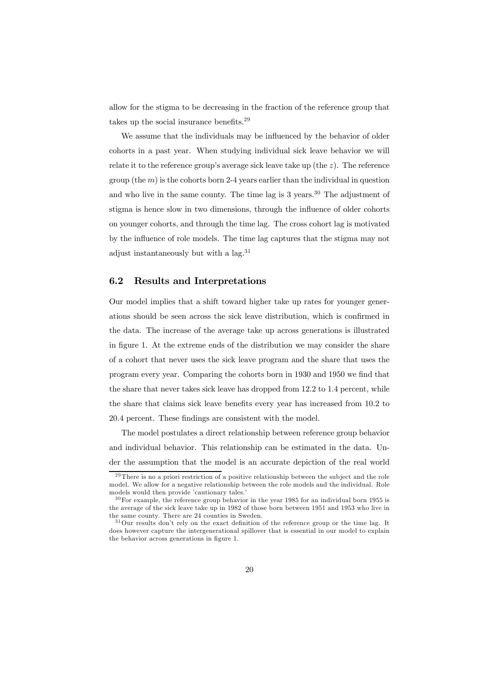allow for the stigma to be decreasing in the fraction of the reference group that takes up the social insurance benefits.29

We assume that the individuals may be influenced by the behavior of older cohorts in a past year. When studying individual sick leave behavior we will relate it to the reference group's average sick leave take up (the  $z$ ). The reference group (the  $m$ ) is the cohorts born 2-4 years earlier than the individual in question and who live in the same county. The time lag is  $3 \text{ years.}^{30}$  The adjustment of stigma is hence slow in two dimensions, through the influence of older cohorts on younger cohorts, and through the time lag. The cross cohort lag is motivated by the influence of role models. The time lag captures that the stigma may not adjust instantaneously but with a lag.<sup>31</sup>

### 6.2 Results and Interpretations

Our model implies that a shift toward higher take up rates for younger generations should be seen across the sick leave distribution, which is confirmed in the data. The increase of the average take up across generations is illustrated in figure 1. At the extreme ends of the distribution we may consider the share of a cohort that never uses the sick leave program and the share that uses the program every year. Comparing the cohorts born in 1930 and 1950 we find that the share that never takes sick leave has dropped from 12.2 to 1.4 percent, while the share that claims sick leave benefits every year has increased from 10.2 to 20.4 percent. These findings are consistent with the model.

The model postulates a direct relationship between reference group behavior and individual behavior. This relationship can be estimated in the data. Under the assumption that the model is an accurate depiction of the real world

 $29$ There is no a priori restriction of a positive relationship between the subject and the role model. We allow for a negative relationship between the role models and the individual. Role models would then provide 'cautionary tales.'

 $30$  For example, the reference group behavior in the year 1985 for an individual born 1955 is the average of the sick leave take up in 1982 of those born between 1951 and 1953 who live in the same county. There are 24 counties in Sweden.

<sup>&</sup>lt;sup>31</sup>Our results don't rely on the exact definition of the reference group or the time lag. It does however capture the intergenerational spillover that is essential in our model to explain the behavior across generations in figure 1.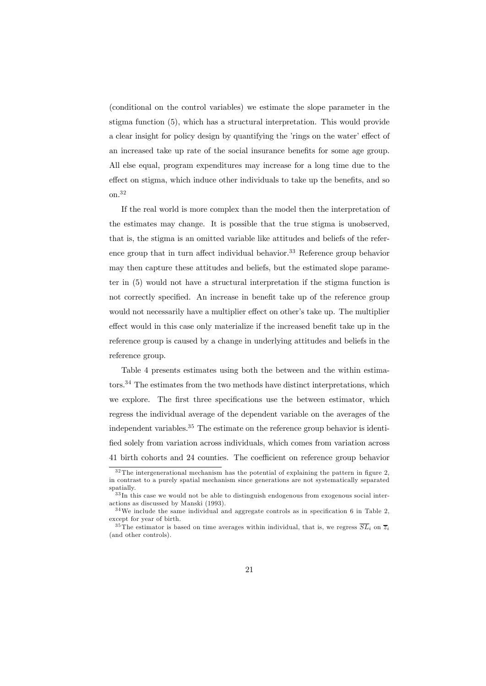(conditional on the control variables) we estimate the slope parameter in the stigma function (5), which has a structural interpretation. This would provide a clear insight for policy design by quantifying the 'rings on the water' effect of an increased take up rate of the social insurance benefits for some age group. All else equal, program expenditures may increase for a long time due to the effect on stigma, which induce other individuals to take up the benefits, and so on.32

If the real world is more complex than the model then the interpretation of the estimates may change. It is possible that the true stigma is unobserved, that is, the stigma is an omitted variable like attitudes and beliefs of the reference group that in turn affect individual behavior.<sup>33</sup> Reference group behavior may then capture these attitudes and beliefs, but the estimated slope parameter in (5) would not have a structural interpretation if the stigma function is not correctly specified. An increase in benefit take up of the reference group would not necessarily have a multiplier effect on other's take up. The multiplier effect would in this case only materialize if the increased benefit take up in the reference group is caused by a change in underlying attitudes and beliefs in the reference group.

Table 4 presents estimates using both the between and the within estimators.34 The estimates from the two methods have distinct interpretations, which we explore. The first three specifications use the between estimator, which regress the individual average of the dependent variable on the averages of the independent variables.<sup>35</sup> The estimate on the reference group behavior is identified solely from variation across individuals, which comes from variation across 41 birth cohorts and 24 counties. The coefficient on reference group behavior

<sup>&</sup>lt;sup>32</sup>The intergenerational mechanism has the potential of explaining the pattern in figure 2, in contrast to a purely spatial mechanism since generations are not systematically separated spatially.

 $33 \text{In }$  this case we would not be able to distinguish endogenous from exogenous social interactions as discussed by Manski (1993).

 $34$ We include the same individual and aggregate controls as in specification 6 in Table 2, except for year of birth.

<sup>&</sup>lt;sup>35</sup>The estimator is based on time averages within individual, that is, we regress  $\overline{SL}_i$  on  $\overline{z}_i$ (and other controls).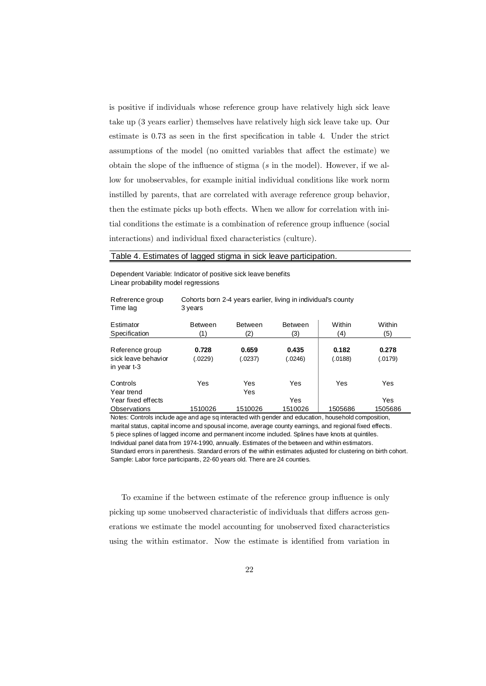is positive if individuals whose reference group have relatively high sick leave take up (3 years earlier) themselves have relatively high sick leave take up. Our estimate is 0.73 as seen in the first specification in table 4. Under the strict assumptions of the model (no omitted variables that affect the estimate) we obtain the slope of the influence of stigma  $(s$  in the model). However, if we allow for unobservables, for example initial individual conditions like work norm instilled by parents, that are correlated with average reference group behavior, then the estimate picks up both effects. When we allow for correlation with initial conditions the estimate is a combination of reference group influence (social interactions) and individual fixed characteristics (culture).

#### Table 4. Estimates of lagged stigma in sick leave participation.

Refrerence group Cohorts born 2-4 years earlier, living in individual's county

Dependent Variable: Indicator of positive sick leave benefits Linear probability model regressions

| Time lag                                              | 3 years               |                       |                       |                  |                  |  |
|-------------------------------------------------------|-----------------------|-----------------------|-----------------------|------------------|------------------|--|
| Estimator<br>Specification                            | <b>Between</b><br>(1) | <b>Between</b><br>(2) | <b>Between</b><br>(3) | Within<br>(4)    | Within<br>(5)    |  |
|                                                       |                       |                       |                       |                  |                  |  |
| Reference group<br>sick leave behavior<br>in year t-3 | 0.728<br>(.0229)      | 0.659<br>(.0237)      | 0.435<br>(.0246)      | 0.182<br>(.0188) | 0.278<br>(.0179) |  |
| Controls<br>Year trend                                | Yes                   | Yes<br>Yes            | Yes                   | Yes              | Yes              |  |
| Year fixed effects<br><b>Observations</b>             | 1510026               | 1510026               | Yes<br>1510026        | 1505686          | Yes<br>1505686   |  |

Notes: Controls include age and age sq interacted with gender and education, household composition, marital status, capital income and spousal income, average county earnings, and regional fixed effects. 5 piece splines of lagged income and permanent income included. Splines have knots at quintiles. Individual panel data from 1974-1990, annually. Estimates of the between and within estimators. Standard errors in parenthesis. Standard errors of the within estimates adjusted for clustering on birth cohort. Sample: Labor force participants, 22-60 years old. There are 24 counties.

To examine if the between estimate of the reference group influence is only picking up some unobserved characteristic of individuals that differs across generations we estimate the model accounting for unobserved fixed characteristics using the within estimator. Now the estimate is identified from variation in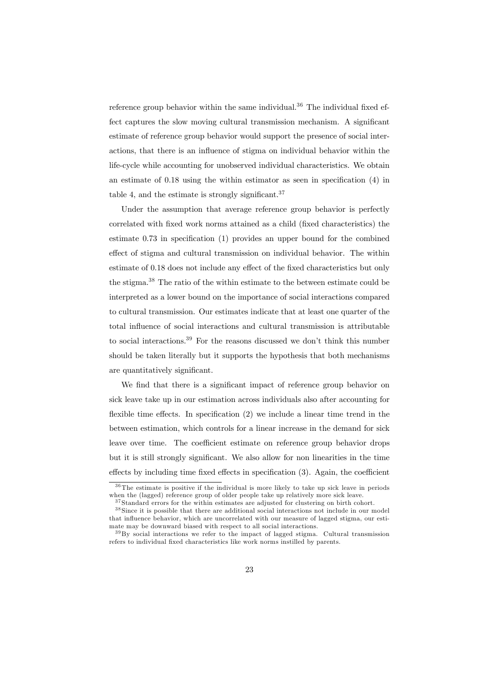reference group behavior within the same individual.<sup>36</sup> The individual fixed effect captures the slow moving cultural transmission mechanism. A significant estimate of reference group behavior would support the presence of social interactions, that there is an influence of stigma on individual behavior within the life-cycle while accounting for unobserved individual characteristics. We obtain an estimate of 0.18 using the within estimator as seen in specification (4) in table 4, and the estimate is strongly significant.<sup>37</sup>

Under the assumption that average reference group behavior is perfectly correlated with fixed work norms attained as a child (fixed characteristics) the estimate 0.73 in specification (1) provides an upper bound for the combined effect of stigma and cultural transmission on individual behavior. The within estimate of 0.18 does not include any effect of the fixed characteristics but only the stigma.38 The ratio of the within estimate to the between estimate could be interpreted as a lower bound on the importance of social interactions compared to cultural transmission. Our estimates indicate that at least one quarter of the total influence of social interactions and cultural transmission is attributable to social interactions.39 For the reasons discussed we don't think this number should be taken literally but it supports the hypothesis that both mechanisms are quantitatively significant.

We find that there is a significant impact of reference group behavior on sick leave take up in our estimation across individuals also after accounting for flexible time effects. In specification (2) we include a linear time trend in the between estimation, which controls for a linear increase in the demand for sick leave over time. The coefficient estimate on reference group behavior drops but it is still strongly significant. We also allow for non linearities in the time effects by including time fixed effects in specification (3). Again, the coefficient

 $36$ The estimate is positive if the individual is more likely to take up sick leave in periods when the (lagged) reference group of older people take up relatively more sick leave.

<sup>&</sup>lt;sup>37</sup> Standard errors for the within estimates are adjusted for clustering on birth cohort.

<sup>&</sup>lt;sup>38</sup> Since it is possible that there are additional social interactions not include in our model that influence behavior, which are uncorrelated with our measure of lagged stigma, our estimate may be downward biased with respect to all social interactions.

<sup>&</sup>lt;sup>39</sup>By social interactions we refer to the impact of lagged stigma. Cultural transmission refers to individual fixed characteristics like work norms instilled by parents.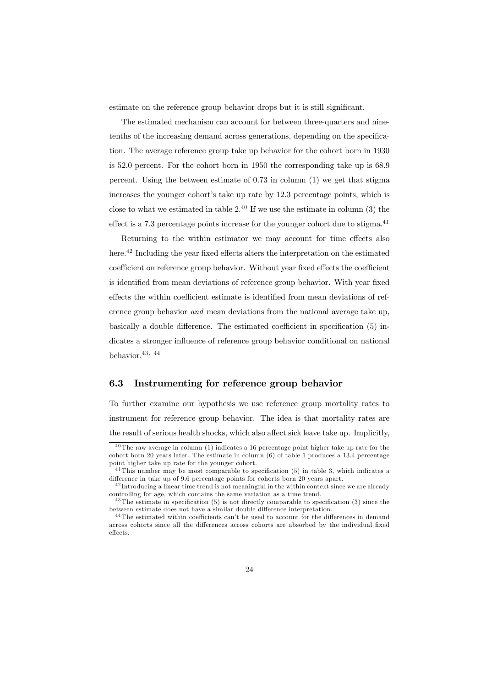estimate on the reference group behavior drops but it is still significant.

The estimated mechanism can account for between three-quarters and ninetenths of the increasing demand across generations, depending on the specification. The average reference group take up behavior for the cohort born in 1930 is 52.0 percent. For the cohort born in 1950 the corresponding take up is 68.9 percent. Using the between estimate of 0.73 in column (1) we get that stigma increases the younger cohort's take up rate by 12.3 percentage points, which is close to what we estimated in table  $2^{40}$  If we use the estimate in column (3) the effect is a  $7.3$  percentage points increase for the younger cohort due to stigma.<sup>41</sup>

Returning to the within estimator we may account for time effects also here.<sup>42</sup> Including the year fixed effects alters the interpretation on the estimated coefficient on reference group behavior. Without year fixed effects the coefficient is identified from mean deviations of reference group behavior. With year fixed effects the within coefficient estimate is identified from mean deviations of reference group behavior and mean deviations from the national average take up, basically a double difference. The estimated coefficient in specification (5) indicates a stronger influence of reference group behavior conditional on national behavior.<sup>43</sup> , <sup>44</sup>

### 6.3 Instrumenting for reference group behavior

To further examine our hypothesis we use reference group mortality rates to instrument for reference group behavior. The idea is that mortality rates are the result of serious health shocks, which also affect sick leave take up. Implicitly,

 $40$ The raw average in column (1) indicates a 16 percentage point higher take up rate for the cohort born 20 years later. The estimate in column (6) of table 1 produces a 13.4 percentage point higher take up rate for the younger cohort.

 $41$ This number may be most comparable to specification (5) in table 3, which indicates a difference in take up of 9.6 percentage points for cohorts born 20 years apart.

 $42$  Introducing a linear time trend is not meaningful in the within context since we are already controlling for age, which contains the same variation as a time trend.

<sup>4 3</sup>The estimate in specification (5) is not directly comparable to specification (3) since the between estimate does not have a similar double difference interpretation.

<sup>4 4</sup>The estimated within coefficients can't be used to account for the differences in demand across cohorts since all the differences across cohorts are absorbed by the individual fixed effects.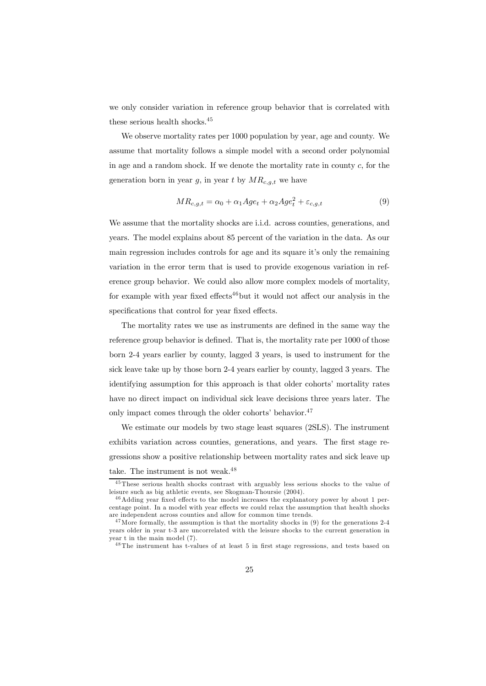we only consider variation in reference group behavior that is correlated with these serious health shocks.45

We observe mortality rates per 1000 population by year, age and county. We assume that mortality follows a simple model with a second order polynomial in age and a random shock. If we denote the mortality rate in county c, for the generation born in year g, in year t by  $MR_{c,q,t}$  we have

$$
MR_{c,g,t} = \alpha_0 + \alpha_1 Age_t + \alpha_2 Age_t^2 + \varepsilon_{c,g,t}
$$
\n
$$
(9)
$$

We assume that the mortality shocks are i.i.d. across counties, generations, and years. The model explains about 85 percent of the variation in the data. As our main regression includes controls for age and its square it's only the remaining variation in the error term that is used to provide exogenous variation in reference group behavior. We could also allow more complex models of mortality, for example with year fixed effects<sup>46</sup>but it would not affect our analysis in the specifications that control for year fixed effects.

The mortality rates we use as instruments are defined in the same way the reference group behavior is defined. That is, the mortality rate per 1000 of those born 2-4 years earlier by county, lagged 3 years, is used to instrument for the sick leave take up by those born 2-4 years earlier by county, lagged 3 years. The identifying assumption for this approach is that older cohorts' mortality rates have no direct impact on individual sick leave decisions three years later. The only impact comes through the older cohorts' behavior.<sup>47</sup>

We estimate our models by two stage least squares (2SLS). The instrument exhibits variation across counties, generations, and years. The first stage regressions show a positive relationship between mortality rates and sick leave up take. The instrument is not weak.<sup>48</sup>

<sup>4 5</sup>These serious health shocks contrast with arguably less serious shocks to the value of leisure such as big athletic events, see Skogman-Thoursie (2004).

<sup>&</sup>lt;sup>46</sup>Adding year fixed effects to the model increases the explanatory power by about 1 percentage point. In a model with year effects we could relax the assumption that health shocks are independent across counties and allow for common time trends.

 $47$  More formally, the assumption is that the mortality shocks in (9) for the generations 2-4 years older in year t-3 are uncorrelated with the leisure shocks to the current generation in year t in the main model (7).

<sup>4 8</sup>The instrument has t-values of at least 5 in first stage regressions, and tests based on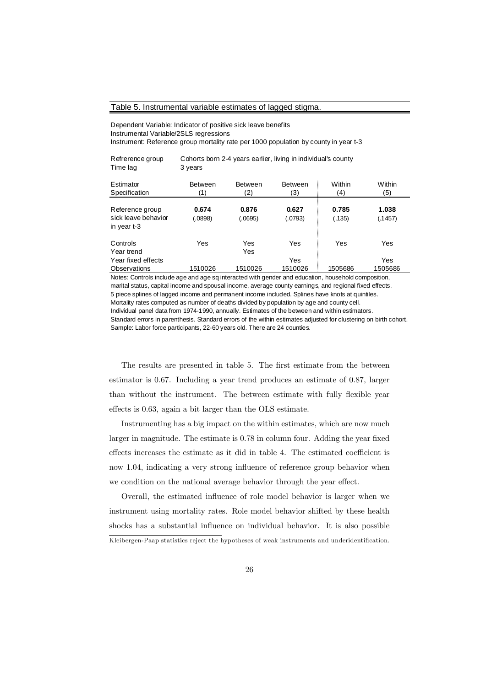#### Table 5. Instrumental variable estimates of lagged stigma.

Dependent Variable: Indicator of positive sick leave benefits Instrumental Variable/2SLS regressions Instrument: Reference group mortality rate per 1000 population by county in year t-3

| Refrerence group<br>Time lag                          | Cohorts born 2-4 years earlier, living in individual's county<br>3 years |                       |                       |                 |                  |  |  |
|-------------------------------------------------------|--------------------------------------------------------------------------|-----------------------|-----------------------|-----------------|------------------|--|--|
| Estimator<br>Specification                            | <b>Between</b><br>(1)                                                    | <b>Between</b><br>(2) | <b>Between</b><br>(3) | Within<br>(4)   | Within<br>(5)    |  |  |
| Reference group<br>sick leave behavior<br>in year t-3 | 0.674<br>(.0898)                                                         | 0.876<br>(.0695)      | 0.627<br>(.0793)      | 0.785<br>(.135) | 1.038<br>(.1457) |  |  |
| Controls<br>Year trend                                | Yes                                                                      | Yes<br>Yes            | Yes                   | Yes             | Yes              |  |  |
| Year fixed effects<br>Observations                    | 1510026                                                                  | 1510026               | Yes<br>1510026        | 1505686         | Yes<br>1505686   |  |  |

Notes: Controls include age and age sq interacted with gender and education, household composition, marital status, capital income and spousal income, average county earnings, and regional fixed effects. 5 piece splines of lagged income and permanent income included. Splines have knots at quintiles. Mortality rates computed as number of deaths divided by population by age and county cell. Individual panel data from 1974-1990, annually. Estimates of the between and within estimators. Standard errors in parenthesis. Standard errors of the within estimates adjusted for clustering on birth cohort. Sample: Labor force participants, 22-60 years old. There are 24 counties.

The results are presented in table 5. The first estimate from the between estimator is 0.67. Including a year trend produces an estimate of 0.87, larger than without the instrument. The between estimate with fully flexible year effects is 0.63, again a bit larger than the OLS estimate.

Instrumenting has a big impact on the within estimates, which are now much larger in magnitude. The estimate is 0.78 in column four. Adding the year fixed effects increases the estimate as it did in table 4. The estimated coefficient is now 1.04, indicating a very strong influence of reference group behavior when we condition on the national average behavior through the year effect.

Overall, the estimated influence of role model behavior is larger when we instrument using mortality rates. Role model behavior shifted by these health shocks has a substantial influence on individual behavior. It is also possible

Kleibergen-Paap statistics reject the hypotheses of weak instruments and underidentification.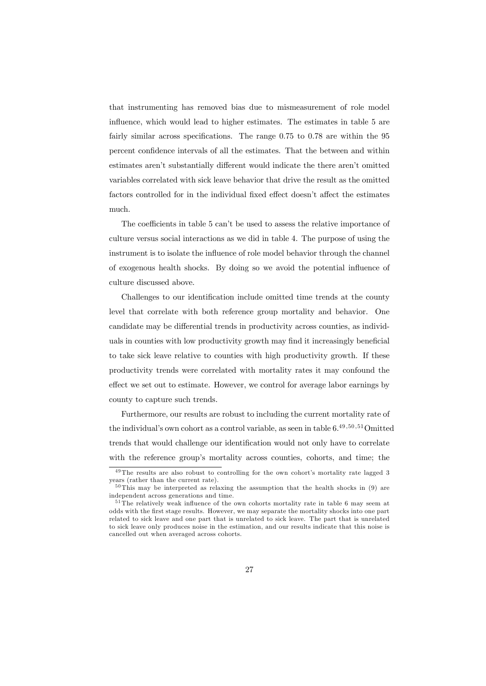that instrumenting has removed bias due to mismeasurement of role model influence, which would lead to higher estimates. The estimates in table 5 are fairly similar across specifications. The range  $0.75$  to  $0.78$  are within the  $95$ percent confidence intervals of all the estimates. That the between and within estimates aren't substantially different would indicate the there aren't omitted variables correlated with sick leave behavior that drive the result as the omitted factors controlled for in the individual fixed effect doesn't affect the estimates much.

The coefficients in table 5 can't be used to assess the relative importance of culture versus social interactions as we did in table 4. The purpose of using the instrument is to isolate the influence of role model behavior through the channel of exogenous health shocks. By doing so we avoid the potential influence of culture discussed above.

Challenges to our identification include omitted time trends at the county level that correlate with both reference group mortality and behavior. One candidate may be differential trends in productivity across counties, as individuals in counties with low productivity growth may find it increasingly beneficial to take sick leave relative to counties with high productivity growth. If these productivity trends were correlated with mortality rates it may confound the effect we set out to estimate. However, we control for average labor earnings by county to capture such trends.

Furthermore, our results are robust to including the current mortality rate of the individual's own cohort as a control variable, as seen in table  $6.^{49,50,51}$ Omitted trends that would challenge our identification would not only have to correlate with the reference group's mortality across counties, cohorts, and time; the

 $49$ The results are also robust to controlling for the own cohort's mortality rate lagged 3 years (rather than the current rate).

 $50$ This may be interpreted as relaxing the assumption that the health shocks in (9) are independent across generations and time.

<sup>&</sup>lt;sup>51</sup>The relatively weak influence of the own cohorts mortality rate in table 6 may seem at odds with the first stage results. However, we may separate the mortality shocks into one part related to sick leave and one part that is unrelated to sick leave. The part that is unrelated to sick leave only produces noise in the estimation, and our results indicate that this noise is cancelled out when averaged across cohorts.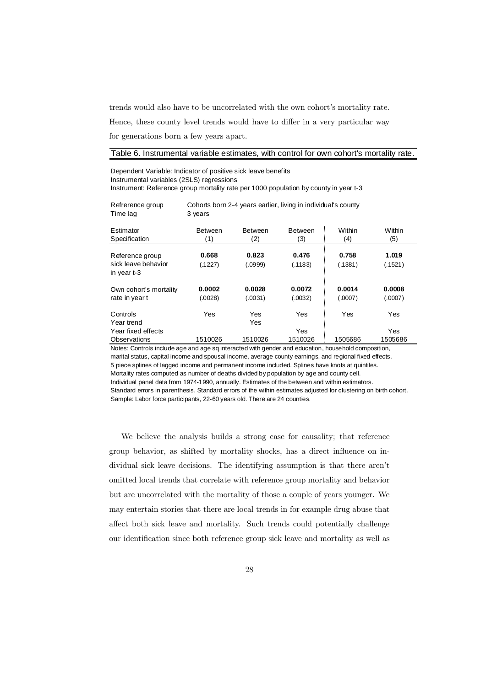trends would also have to be uncorrelated with the own cohort's mortality rate.

Hence, these county level trends would have to differ in a very particular way

for generations born a few years apart.

#### Table 6. Instrumental variable estimates, with control for own cohort's mortality rate.

Dependent Variable: Indicator of positive sick leave benefits Instrumental variables (2SLS) regressions Instrument: Reference group mortality rate per 1000 population by county in year t-3

| Refrerence group           | Cohorts born 2-4 years earlier, living in individual's county |                       |                |               |               |  |  |
|----------------------------|---------------------------------------------------------------|-----------------------|----------------|---------------|---------------|--|--|
| Time lag                   | 3 years                                                       |                       |                |               |               |  |  |
| Estimator<br>Specification | <b>Between</b><br>(1)                                         | <b>Between</b><br>(2) | Between<br>(3) | Within<br>(4) | Within<br>(5) |  |  |
|                            |                                                               |                       |                |               |               |  |  |
| Reference group            | 0.668                                                         | 0.823                 | 0.476          | 0.758         | 1.019         |  |  |
| sick leave behavior        | (.1227)                                                       | (.0999)               | (.1183)        | (.1381)       | (.1521)       |  |  |
| in year t-3                |                                                               |                       |                |               |               |  |  |
| Own cohort's mortality     | 0.0002                                                        | 0.0028                | 0.0072         | 0.0014        | 0.0008        |  |  |
| rate in year t             | (.0028)                                                       | (.0031)               | (.0032)        | (.0007)       | (.0007)       |  |  |
| Controls                   | Yes                                                           | Yes                   | Yes            | Yes           | Yes           |  |  |
| Year trend                 |                                                               | Yes                   |                |               |               |  |  |
| Year fixed effects         |                                                               |                       | Yes            |               | Yes           |  |  |
| Observations               | 1510026                                                       | 1510026               | 1510026        | 1505686       | 1505686       |  |  |

Notes: Controls include age and age sq interacted with gender and education, household composition, marital status, capital income and spousal income, average county earnings, and regional fixed effects. 5 piece splines of lagged income and permanent income included. Splines have knots at quintiles. Mortality rates computed as number of deaths divided by population by age and county cell. Individual panel data from 1974-1990, annually. Estimates of the between and within estimators. Standard errors in parenthesis. Standard errors of the within estimates adjusted for clustering on birth cohort.

Sample: Labor force participants, 22-60 years old. There are 24 counties.

We believe the analysis builds a strong case for causality; that reference group behavior, as shifted by mortality shocks, has a direct influence on individual sick leave decisions. The identifying assumption is that there aren't omitted local trends that correlate with reference group mortality and behavior but are uncorrelated with the mortality of those a couple of years younger. We may entertain stories that there are local trends in for example drug abuse that affect both sick leave and mortality. Such trends could potentially challenge our identification since both reference group sick leave and mortality as well as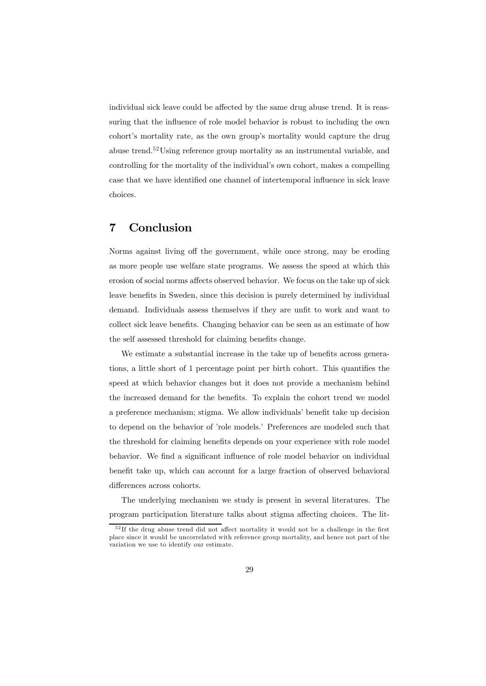individual sick leave could be affected by the same drug abuse trend. It is reassuring that the influence of role model behavior is robust to including the own cohort's mortality rate, as the own group's mortality would capture the drug abuse trend.52Using reference group mortality as an instrumental variable, and controlling for the mortality of the individual's own cohort, makes a compelling case that we have identified one channel of intertemporal influence in sick leave choices.

### 7 Conclusion

Norms against living off the government, while once strong, may be eroding as more people use welfare state programs. We assess the speed at which this erosion of social norms affects observed behavior. We focus on the take up of sick leave benefits in Sweden, since this decision is purely determined by individual demand. Individuals assess themselves if they are unfit to work and want to collect sick leave benefits. Changing behavior can be seen as an estimate of how the self assessed threshold for claiming benefits change.

We estimate a substantial increase in the take up of benefits across generations, a little short of 1 percentage point per birth cohort. This quantifies the speed at which behavior changes but it does not provide a mechanism behind the increased demand for the benefits. To explain the cohort trend we model a preference mechanism; stigma. We allow individuals' benefit take up decision to depend on the behavior of 'role models.' Preferences are modeled such that the threshold for claiming benefits depends on your experience with role model behavior. We find a significant influence of role model behavior on individual benefit take up, which can account for a large fraction of observed behavioral differences across cohorts.

The underlying mechanism we study is present in several literatures. The program participation literature talks about stigma affecting choices. The lit-

 $5<sup>2</sup>$  If the drug abuse trend did not affect mortality it would not be a challenge in the first place since it would be uncorrelated with reference group mortality, and hence not part of the variation we use to identify our estimate.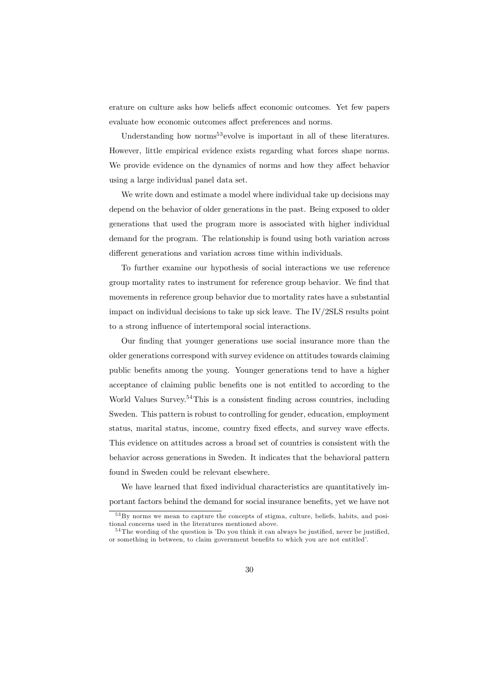erature on culture asks how beliefs affect economic outcomes. Yet few papers evaluate how economic outcomes affect preferences and norms.

Understanding how norms<sup>53</sup> evolve is important in all of these literatures. However, little empirical evidence exists regarding what forces shape norms. We provide evidence on the dynamics of norms and how they affect behavior using a large individual panel data set.

We write down and estimate a model where individual take up decisions may depend on the behavior of older generations in the past. Being exposed to older generations that used the program more is associated with higher individual demand for the program. The relationship is found using both variation across different generations and variation across time within individuals.

To further examine our hypothesis of social interactions we use reference group mortality rates to instrument for reference group behavior. We find that movements in reference group behavior due to mortality rates have a substantial impact on individual decisions to take up sick leave. The IV/2SLS results point to a strong influence of intertemporal social interactions.

Our finding that younger generations use social insurance more than the older generations correspond with survey evidence on attitudes towards claiming public benefits among the young. Younger generations tend to have a higher acceptance of claiming public benefits one is not entitled to according to the World Values Survey.<sup>54</sup>This is a consistent finding across countries, including Sweden. This pattern is robust to controlling for gender, education, employment status, marital status, income, country fixed effects, and survey wave effects. This evidence on attitudes across a broad set of countries is consistent with the behavior across generations in Sweden. It indicates that the behavioral pattern found in Sweden could be relevant elsewhere.

We have learned that fixed individual characteristics are quantitatively important factors behind the demand for social insurance benefits, yet we have not

<sup>&</sup>lt;sup>53</sup>By norms we mean to capture the concepts of stigma, culture, beliefs, habits, and positional concerns used in the literatures mentioned above.

<sup>5 4</sup>The wording of the question is 'Do you think it can always be justified, never be justified, or something in between, to claim government benefits to which you are not entitled'.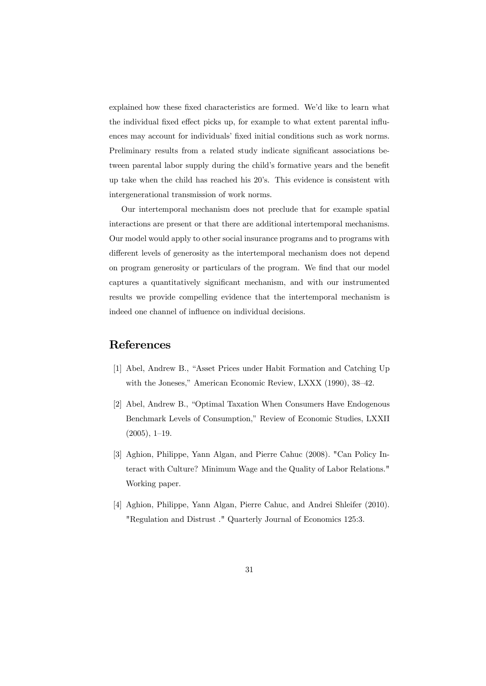explained how these fixed characteristics are formed. We'd like to learn what the individual fixed effect picks up, for example to what extent parental influences may account for individuals' fixed initial conditions such as work norms. Preliminary results from a related study indicate significant associations between parental labor supply during the child's formative years and the benefit up take when the child has reached his 20's. This evidence is consistent with intergenerational transmission of work norms.

Our intertemporal mechanism does not preclude that for example spatial interactions are present or that there are additional intertemporal mechanisms. Our model would apply to other social insurance programs and to programs with different levels of generosity as the intertemporal mechanism does not depend on program generosity or particulars of the program. We find that our model captures a quantitatively significant mechanism, and with our instrumented results we provide compelling evidence that the intertemporal mechanism is indeed one channel of influence on individual decisions.

# References

- [1] Abel, Andrew B., "Asset Prices under Habit Formation and Catching Up with the Joneses," American Economic Review, LXXX (1990), 38—42.
- [2] Abel, Andrew B., "Optimal Taxation When Consumers Have Endogenous Benchmark Levels of Consumption," Review of Economic Studies, LXXII (2005), 1—19.
- [3] Aghion, Philippe, Yann Algan, and Pierre Cahuc (2008). "Can Policy Interact with Culture? Minimum Wage and the Quality of Labor Relations." Working paper.
- [4] Aghion, Philippe, Yann Algan, Pierre Cahuc, and Andrei Shleifer (2010). "Regulation and Distrust ." Quarterly Journal of Economics 125:3.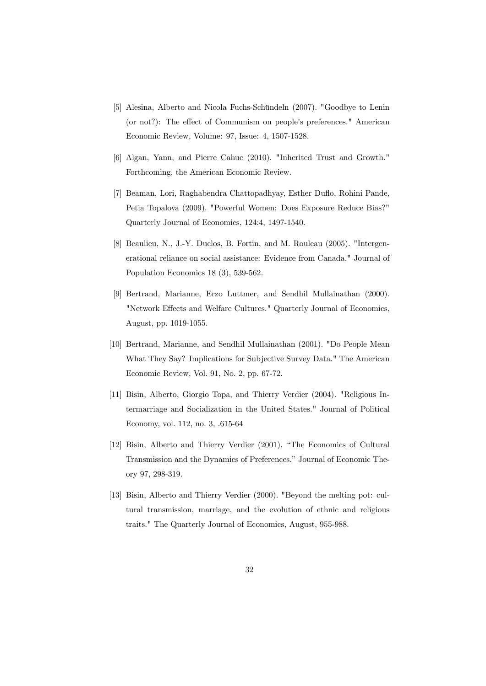- [5] Alesina, Alberto and Nicola Fuchs-Schündeln (2007). "Goodbye to Lenin (or not?): The effect of Communism on people's preferences." American Economic Review, Volume: 97, Issue: 4, 1507-1528.
- [6] Algan, Yann, and Pierre Cahuc (2010). "Inherited Trust and Growth." Forthcoming, the American Economic Review.
- [7] Beaman, Lori, Raghabendra Chattopadhyay, Esther Duflo, Rohini Pande, Petia Topalova (2009). "Powerful Women: Does Exposure Reduce Bias?" Quarterly Journal of Economics, 124:4, 1497-1540.
- [8] Beaulieu, N., J.-Y. Duclos, B. Fortin, and M. Rouleau (2005). "Intergenerational reliance on social assistance: Evidence from Canada." Journal of Population Economics 18 (3), 539-562.
- [9] Bertrand, Marianne, Erzo Luttmer, and Sendhil Mullainathan (2000). "Network Effects and Welfare Cultures." Quarterly Journal of Economics, August, pp. 1019-1055.
- [10] Bertrand, Marianne, and Sendhil Mullainathan (2001). "Do People Mean What They Say? Implications for Subjective Survey Data." The American Economic Review, Vol. 91, No. 2, pp. 67-72.
- [11] Bisin, Alberto, Giorgio Topa, and Thierry Verdier (2004). "Religious Intermarriage and Socialization in the United States." Journal of Political Economy, vol. 112, no. 3, .615-64
- [12] Bisin, Alberto and Thierry Verdier (2001). "The Economics of Cultural Transmission and the Dynamics of Preferences." Journal of Economic Theory 97, 298-319.
- [13] Bisin, Alberto and Thierry Verdier (2000). "Beyond the melting pot: cultural transmission, marriage, and the evolution of ethnic and religious traits." The Quarterly Journal of Economics, August, 955-988.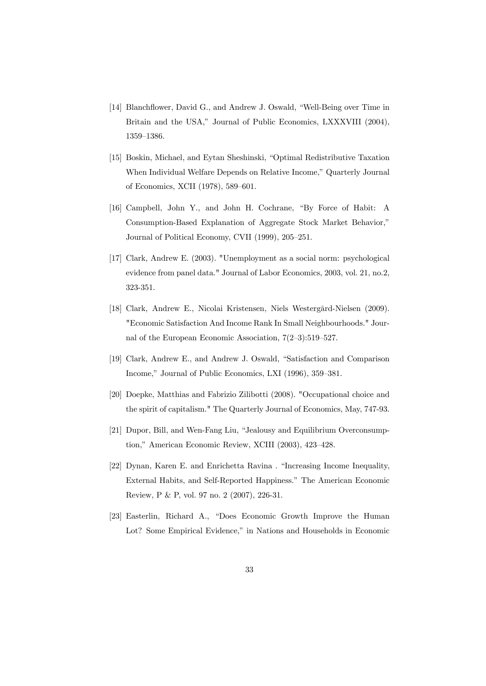- [14] Blanchflower, David G., and Andrew J. Oswald, "Well-Being over Time in Britain and the USA," Journal of Public Economics, LXXXVIII (2004), 1359—1386.
- [15] Boskin, Michael, and Eytan Sheshinski, "Optimal Redistributive Taxation When Individual Welfare Depends on Relative Income," Quarterly Journal of Economics, XCII (1978), 589—601.
- [16] Campbell, John Y., and John H. Cochrane, "By Force of Habit: A Consumption-Based Explanation of Aggregate Stock Market Behavior," Journal of Political Economy, CVII (1999), 205—251.
- [17] Clark, Andrew E. (2003). "Unemployment as a social norm: psychological evidence from panel data." Journal of Labor Economics, 2003, vol. 21, no.2, 323-351.
- [18] Clark, Andrew E., Nicolai Kristensen, Niels Westergård-Nielsen (2009). "Economic Satisfaction And Income Rank In Small Neighbourhoods." Journal of the European Economic Association, 7(2—3):519—527.
- [19] Clark, Andrew E., and Andrew J. Oswald, "Satisfaction and Comparison Income," Journal of Public Economics, LXI (1996), 359—381.
- [20] Doepke, Matthias and Fabrizio Zilibotti (2008). "Occupational choice and the spirit of capitalism." The Quarterly Journal of Economics, May, 747-93.
- [21] Dupor, Bill, and Wen-Fang Liu, "Jealousy and Equilibrium Overconsumption," American Economic Review, XCIII (2003), 423—428.
- [22] Dynan, Karen E. and Enrichetta Ravina . "Increasing Income Inequality, External Habits, and Self-Reported Happiness." The American Economic Review, P & P, vol. 97 no. 2 (2007), 226-31.
- [23] Easterlin, Richard A., "Does Economic Growth Improve the Human Lot? Some Empirical Evidence," in Nations and Households in Economic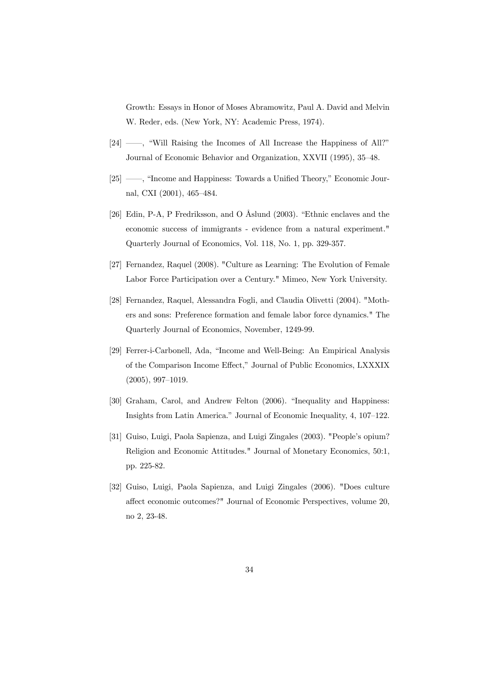Growth: Essays in Honor of Moses Abramowitz, Paul A. David and Melvin W. Reder, eds. (New York, NY: Academic Press, 1974).

- [24] ––, "Will Raising the Incomes of All Increase the Happiness of All?" Journal of Economic Behavior and Organization, XXVII (1995), 35—48.
- [25] ––, "Income and Happiness: Towards a Unified Theory," Economic Journal, CXI (2001), 465—484.
- [26] Edin, P-A, P Fredriksson, and O Åslund (2003). "Ethnic enclaves and the economic success of immigrants - evidence from a natural experiment." Quarterly Journal of Economics, Vol. 118, No. 1, pp. 329-357.
- [27] Fernandez, Raquel (2008). "Culture as Learning: The Evolution of Female Labor Force Participation over a Century." Mimeo, New York University.
- [28] Fernandez, Raquel, Alessandra Fogli, and Claudia Olivetti (2004). "Mothers and sons: Preference formation and female labor force dynamics." The Quarterly Journal of Economics, November, 1249-99.
- [29] Ferrer-i-Carbonell, Ada, "Income and Well-Being: An Empirical Analysis of the Comparison Income Effect," Journal of Public Economics, LXXXIX (2005), 997—1019.
- [30] Graham, Carol, and Andrew Felton (2006). "Inequality and Happiness: Insights from Latin America." Journal of Economic Inequality, 4, 107—122.
- [31] Guiso, Luigi, Paola Sapienza, and Luigi Zingales (2003). "People's opium? Religion and Economic Attitudes." Journal of Monetary Economics, 50:1, pp. 225-82.
- [32] Guiso, Luigi, Paola Sapienza, and Luigi Zingales (2006). "Does culture affect economic outcomes?" Journal of Economic Perspectives, volume 20, no 2, 23-48.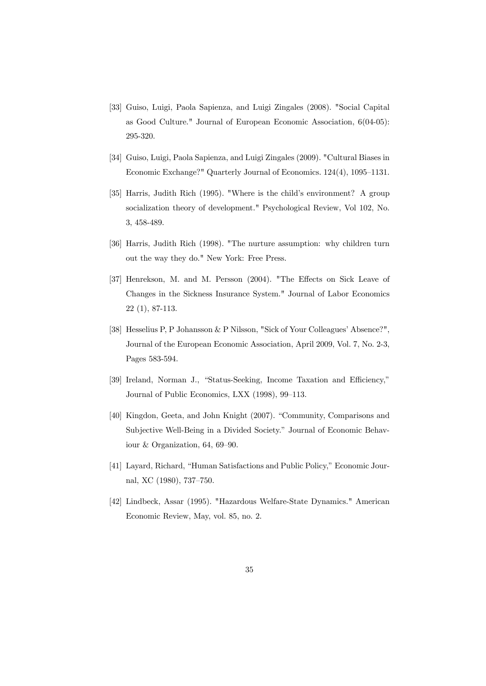- [33] Guiso, Luigi, Paola Sapienza, and Luigi Zingales (2008). "Social Capital as Good Culture." Journal of European Economic Association, 6(04-05): 295-320.
- [34] Guiso, Luigi, Paola Sapienza, and Luigi Zingales (2009). "Cultural Biases in Economic Exchange?" Quarterly Journal of Economics. 124(4), 1095—1131.
- [35] Harris, Judith Rich (1995). "Where is the child's environment? A group socialization theory of development." Psychological Review, Vol 102, No. 3, 458-489.
- [36] Harris, Judith Rich (1998). "The nurture assumption: why children turn out the way they do." New York: Free Press.
- [37] Henrekson, M. and M. Persson (2004). "The Effects on Sick Leave of Changes in the Sickness Insurance System." Journal of Labor Economics 22 (1), 87-113.
- [38] Hesselius P, P Johansson & P Nilsson, "Sick of Your Colleagues' Absence?", Journal of the European Economic Association, April 2009, Vol. 7, No. 2-3, Pages 583-594.
- [39] Ireland, Norman J., "Status-Seeking, Income Taxation and Efficiency," Journal of Public Economics, LXX (1998), 99—113.
- [40] Kingdon, Geeta, and John Knight (2007). "Community, Comparisons and Subjective Well-Being in a Divided Society." Journal of Economic Behaviour & Organization, 64, 69—90.
- [41] Layard, Richard, "Human Satisfactions and Public Policy," Economic Journal, XC (1980), 737—750.
- [42] Lindbeck, Assar (1995). "Hazardous Welfare-State Dynamics." American Economic Review, May, vol. 85, no. 2.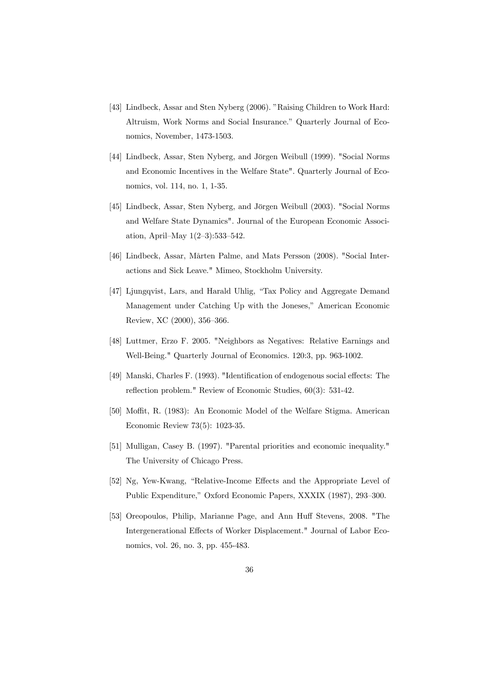- [43] Lindbeck, Assar and Sten Nyberg (2006). "Raising Children to Work Hard: Altruism, Work Norms and Social Insurance." Quarterly Journal of Economics, November, 1473-1503.
- [44] Lindbeck, Assar, Sten Nyberg, and Jörgen Weibull (1999). "Social Norms and Economic Incentives in the Welfare State". Quarterly Journal of Economics, vol. 114, no. 1, 1-35.
- [45] Lindbeck, Assar, Sten Nyberg, and Jörgen Weibull (2003). "Social Norms and Welfare State Dynamics". Journal of the European Economic Association, April—May 1(2—3):533—542.
- [46] Lindbeck, Assar, Mårten Palme, and Mats Persson (2008). "Social Interactions and Sick Leave." Mimeo, Stockholm University.
- [47] Ljungqvist, Lars, and Harald Uhlig, "Tax Policy and Aggregate Demand Management under Catching Up with the Joneses," American Economic Review, XC (2000), 356—366.
- [48] Luttmer, Erzo F. 2005. "Neighbors as Negatives: Relative Earnings and Well-Being." Quarterly Journal of Economics. 120:3, pp. 963-1002.
- [49] Manski, Charles F. (1993). "Identification of endogenous social effects: The reflection problem." Review of Economic Studies, 60(3): 531-42.
- [50] Moffit, R. (1983): An Economic Model of the Welfare Stigma. American Economic Review 73(5): 1023-35.
- [51] Mulligan, Casey B. (1997). "Parental priorities and economic inequality." The University of Chicago Press.
- [52] Ng, Yew-Kwang, "Relative-Income Effects and the Appropriate Level of Public Expenditure," Oxford Economic Papers, XXXIX (1987), 293—300.
- [53] Oreopoulos, Philip, Marianne Page, and Ann Huff Stevens, 2008. "The Intergenerational Effects of Worker Displacement." Journal of Labor Economics, vol. 26, no. 3, pp. 455-483.